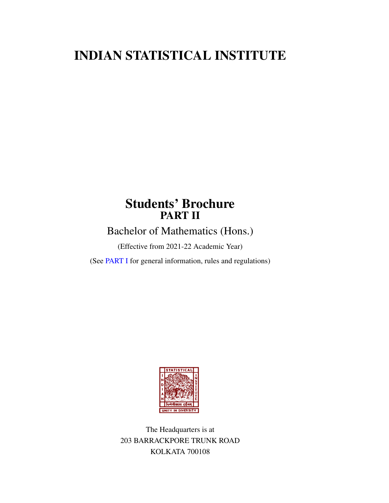# INDIAN STATISTICAL INSTITUTE

# Students' Brochure PART II

Bachelor of Mathematics (Hons.)

(Effective from 2021-22 Academic Year)

(See [PART I](https://www.isical.ac.in/~deanweb/GNRLRULES-REGULATIONS-2019.pdf) for general information, rules and regulations)



The Headquarters is at 203 BARRACKPORE TRUNK ROAD KOLKATA 700108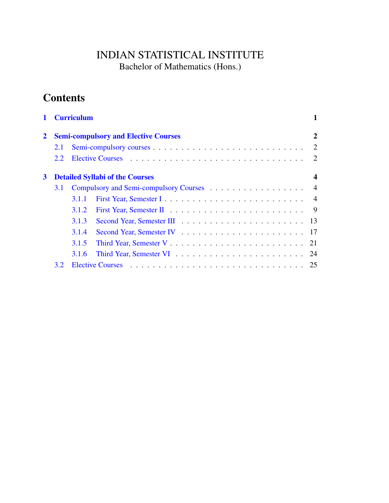## INDIAN STATISTICAL INSTITUTE Bachelor of Mathematics (Hons.)

# **Contents**

|              | <b>Curriculum</b>                           |       |                                          |                |  |
|--------------|---------------------------------------------|-------|------------------------------------------|----------------|--|
| $\mathbf{2}$ | <b>Semi-compulsory and Elective Courses</b> |       |                                          |                |  |
|              | 2.1                                         |       |                                          | 2              |  |
|              | 2.2                                         |       |                                          | 2              |  |
| $\mathbf{3}$ | <b>Detailed Syllabi of the Courses</b>      |       |                                          |                |  |
|              | 3.1                                         |       | Compulsory and Semi-compulsory Courses 4 |                |  |
|              |                                             | 3.1.1 |                                          |                |  |
|              |                                             | 3.1.2 |                                          | $\overline{9}$ |  |
|              |                                             | 3.1.3 |                                          |                |  |
|              |                                             | 3.1.4 |                                          |                |  |
|              |                                             | 3.1.5 |                                          |                |  |
|              |                                             | 3.1.6 |                                          |                |  |
|              | 3.2 <sub>1</sub>                            |       |                                          | 25             |  |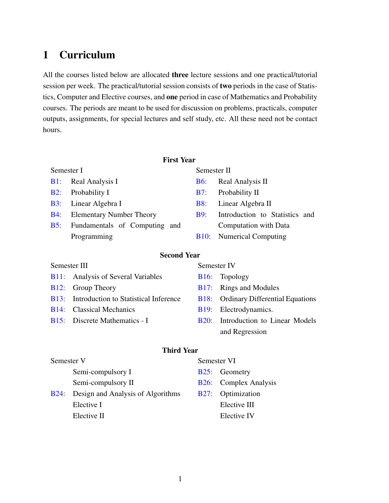# <span id="page-4-0"></span>1 Curriculum

All the courses listed below are allocated **three** lecture sessions and one practical/tutorial session per week. The practical/tutorial session consists of two periods in the case of Statistics, Computer and Elective courses, and one period in case of Mathematics and Probability courses. The periods are meant to be used for discussion on problems, practicals, computer outputs, assignments, for special lectures and self study, etc. All these need not be contact hours.

## First Year

#### Semester I

## [B1:](#page-7-2) Real Analysis I

- [B2:](#page-7-3) Probability I
- [B3:](#page-8-0) Linear Algebra I
- [B4:](#page-9-0) Elementary Number Theory
- [B5:](#page-10-0) Fundamentals of Computing and Programming

## Semester II

- [B6:](#page-12-0) Real Analysis II
- [B7:](#page-12-1) Probability II
- [B8:](#page-13-0) Linear Algebra II
- [B9:](#page-14-0) Introduction to Statistics and Computation with Data
- [B10:](#page-15-0) Numerical Computing

## Second Year

## Semester III

- [B11:](#page-16-0) Analysis of Several Variables
- [B12:](#page-17-0) Group Theory
- [B13:](#page-17-1) Introduction to Statistical Inference
- [B14:](#page-18-0) Classical Mechanics
- [B15:](#page-19-0) Discrete Mathematics I

## Semester IV

## [B16:](#page-20-0) Topology

- [B17:](#page-20-1) Rings and Modules
- [B18:](#page-21-0) Ordinary Differential Equations
- [B19:](#page-22-0) Electrodynamics.
- [B20:](#page-23-0) Introduction to Linear Models and Regression

## Third Year

## Semester V Semi-compulsory I Semi-compulsory II [B24:](#page-26-0) Design and Analysis of Algorithms Elective I Elective II

#### Semester VI

- [B25:](#page-27-0) Geometry
- [B26:](#page-27-1) Complex Analysis
- [B27:](#page-28-1) Optimization Elective III Elective IV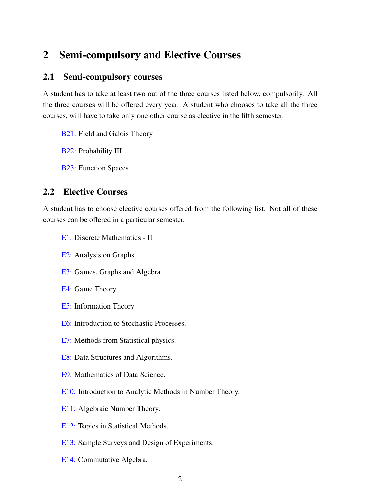## <span id="page-5-0"></span>2 Semi-compulsory and Elective Courses

## <span id="page-5-1"></span>2.1 Semi-compulsory courses

A student has to take at least two out of the three courses listed below, compulsorily. All the three courses will be offered every year. A student who chooses to take all the three courses, will have to take only one other course as elective in the fifth semester.

[B21:](#page-24-0) Field and Galois Theory

[B22:](#page-25-0) Probability III

[B23:](#page-26-1) Function Spaces

## <span id="page-5-2"></span>2.2 Elective Courses

A student has to choose elective courses offered from the following list. Not all of these courses can be offered in a particular semester.

- [E1:](#page-28-0) Discrete Mathematics II
- [E2:](#page-29-0) Analysis on Graphs
- [E3:](#page-29-1) Games, Graphs and Algebra
- [E4:](#page-30-0) Game Theory
- [E5:](#page-30-1) Information Theory
- [E6:](#page-31-0) Introduction to Stochastic Processes.
- [E7:](#page-32-0) Methods from Statistical physics.
- [E8:](#page-33-0) Data Structures and Algorithms.
- [E9:](#page-33-1) Mathematics of Data Science.
- [E10:](#page-34-0) Introduction to Analytic Methods in Number Theory.
- [E11:](#page-34-1) Algebraic Number Theory.
- [E12:](#page-35-0) Topics in Statistical Methods.
- [E13:](#page-35-1) Sample Surveys and Design of Experiments.
- [E14:](#page-36-0) Commutative Algebra.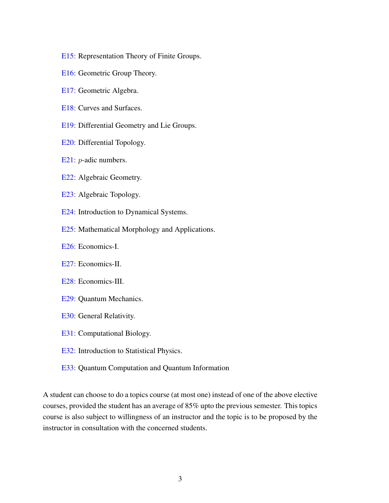- [E15:](#page-36-1) Representation Theory of Finite Groups.
- [E16:](#page-37-0) Geometric Group Theory.
- [E17:](#page-37-1) Geometric Algebra.
- [E18:](#page-38-0) Curves and Surfaces.
- [E19:](#page-38-1) Differential Geometry and Lie Groups.
- [E20:](#page-39-0) Differential Topology.
- [E21:](#page-39-1) *p*-adic numbers.
- [E22:](#page-39-2) Algebraic Geometry.
- [E23:](#page-40-0) Algebraic Topology.
- [E24:](#page-40-1) Introduction to Dynamical Systems.
- [E25:](#page-41-0) Mathematical Morphology and Applications.
- [E26:](#page-41-1) Economics-I.
- [E27:](#page-42-0) Economics-II.
- [E28:](#page-42-1) Economics-III.
- [E29:](#page-43-0) Quantum Mechanics.
- [E30:](#page-43-1) General Relativity.
- [E31:](#page-44-0) Computational Biology.
- [E32:](#page-45-0) Introduction to Statistical Physics.
- [E33:](#page-46-0) Quantum Computation and Quantum Information

A student can choose to do a topics course (at most one) instead of one of the above elective courses, provided the student has an average of 85% upto the previous semester. This topics course is also subject to willingness of an instructor and the topic is to be proposed by the instructor in consultation with the concerned students.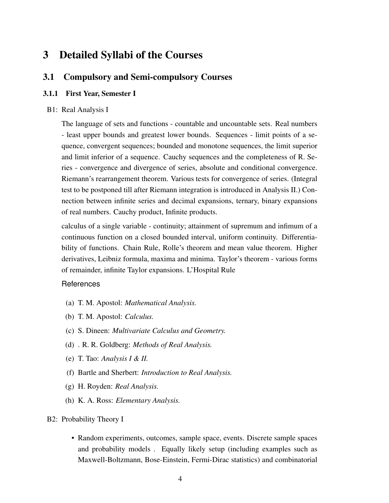## <span id="page-7-0"></span>3 Detailed Syllabi of the Courses

## <span id="page-7-1"></span>3.1 Compulsory and Semi-compulsory Courses

#### <span id="page-7-2"></span>3.1.1 First Year, Semester I

#### B1: Real Analysis I

The language of sets and functions - countable and uncountable sets. Real numbers - least upper bounds and greatest lower bounds. Sequences - limit points of a sequence, convergent sequences; bounded and monotone sequences, the limit superior and limit inferior of a sequence. Cauchy sequences and the completeness of R. Series - convergence and divergence of series, absolute and conditional convergence. Riemann's rearrangement theorem. Various tests for convergence of series. (Integral test to be postponed till after Riemann integration is introduced in Analysis II.) Connection between infinite series and decimal expansions, ternary, binary expansions of real numbers. Cauchy product, Infinite products.

calculus of a single variable - continuity; attainment of supremum and infimum of a continuous function on a closed bounded interval, uniform continuity. Differentiability of functions. Chain Rule, Rolle's theorem and mean value theorem. Higher derivatives, Leibniz formula, maxima and minima. Taylor's theorem - various forms of remainder, infinite Taylor expansions. L'Hospital Rule

## **References**

- (a) T. M. Apostol: *Mathematical Analysis.*
- (b) T. M. Apostol: *Calculus.*
- (c) S. Dineen: *Multivariate Calculus and Geometry.*
- (d) . R. R. Goldberg: *Methods of Real Analysis.*
- (e) T. Tao: *Analysis I & II.*
- (f) Bartle and Sherbert: *Introduction to Real Analysis.*
- (g) H. Royden: *Real Analysis.*
- <span id="page-7-3"></span>(h) K. A. Ross: *Elementary Analysis.*

B2: Probability Theory I

• Random experiments, outcomes, sample space, events. Discrete sample spaces and probability models . Equally likely setup (including examples such as Maxwell-Boltzmann, Bose-Einstein, Fermi-Dirac statistics) and combinatorial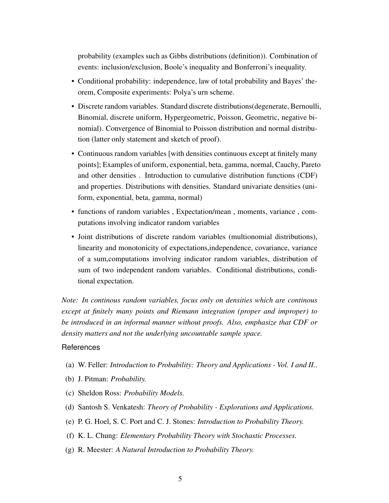probability (examples such as Gibbs distributions (definition)). Combination of events: inclusion/exclusion, Boole's inequality and Bonferroni's inequality.

- Conditional probability: independence, law of total probability and Bayes' theorem, Composite experiments: Polya's urn scheme.
- Discrete random variables. Standard discrete distributions(degenerate, Bernoulli, Binomial, discrete uniform, Hypergeometric, Poisson, Geometric, negative binomial). Convergence of Binomial to Poisson distribution and normal distribution (latter only statement and sketch of proof).
- Continuous random variables [with densities continuous except at finitely many points]; Examples of uniform, exponential, beta, gamma, normal, Cauchy, Pareto and other densities . Introduction to cumulative distribution functions (CDF) and properties. Distributions with densities. Standard univariate densities (uniform, exponential, beta, gamma, normal)
- functions of random variables , Expectation/mean , moments, variance , computations involving indicator random variables
- Joint distributions of discrete random variables (multionomial distributions), linearity and monotonicity of expectations,independence, covariance, variance of a sum,computations involving indicator random variables, distribution of sum of two independent random variables. Conditional distributions, conditional expectation.

*Note: In continous random variables, focus only on densities which are continous except at finitely many points and Riemann integration (proper and improper) to be introduced in an informal manner without proofs. Also, emphasize that CDF or density matters and not the underlying uncountable sample space.*

- (a) W. Feller: *Introduction to Probability: Theory and Applications Vol. I and II.*.
- (b) J. Pitman: *Probability.*
- (c) Sheldon Ross: *Probability Models.*
- (d) Santosh S. Venkatesh: *Theory of Probability Explorations and Applications.*
- (e) P. G. Hoel, S. C. Port and C. J. Stones: *Introduction to Probability Theory.*
- (f) K. L. Chung: *Elementary Probability Theory with Stochastic Processes.*
- <span id="page-8-0"></span>(g) R. Meester: *A Natural Introduction to Probability Theory.*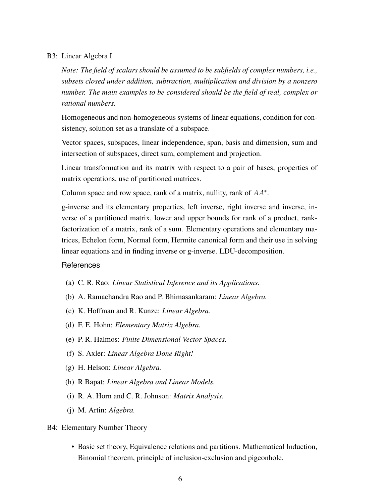#### B3: Linear Algebra I

*Note: The field of scalars should be assumed to be subfields of complex numbers, i.e., subsets closed under addition, subtraction, multiplication and division by a nonzero number. The main examples to be considered should be the field of real, complex or rational numbers.*

Homogeneous and non-homogeneous systems of linear equations, condition for consistency, solution set as a translate of a subspace.

Vector spaces, subspaces, linear independence, span, basis and dimension, sum and intersection of subspaces, direct sum, complement and projection.

Linear transformation and its matrix with respect to a pair of bases, properties of matrix operations, use of partitioned matrices.

Column space and row space, rank of a matrix, nullity, rank of  $AA^*$ .

g-inverse and its elementary properties, left inverse, right inverse and inverse, inverse of a partitioned matrix, lower and upper bounds for rank of a product, rankfactorization of a matrix, rank of a sum. Elementary operations and elementary matrices, Echelon form, Normal form, Hermite canonical form and their use in solving linear equations and in finding inverse or g-inverse. LDU-decomposition.

#### References

- (a) C. R. Rao: *Linear Statistical Inference and its Applications.*
- (b) A. Ramachandra Rao and P. Bhimasankaram: *Linear Algebra.*
- (c) K. Hoffman and R. Kunze: *Linear Algebra.*
- (d) F. E. Hohn: *Elementary Matrix Algebra.*
- (e) P. R. Halmos: *Finite Dimensional Vector Spaces.*
- (f) S. Axler: *Linear Algebra Done Right!*
- (g) H. Helson: *Linear Algebra.*
- (h) R Bapat: *Linear Algebra and Linear Models.*
- (i) R. A. Horn and C. R. Johnson: *Matrix Analysis.*
- (j) M. Artin: *Algebra.*

#### <span id="page-9-0"></span>B4: Elementary Number Theory

• Basic set theory, Equivalence relations and partitions. Mathematical Induction, Binomial theorem, principle of inclusion-exclusion and pigeonhole.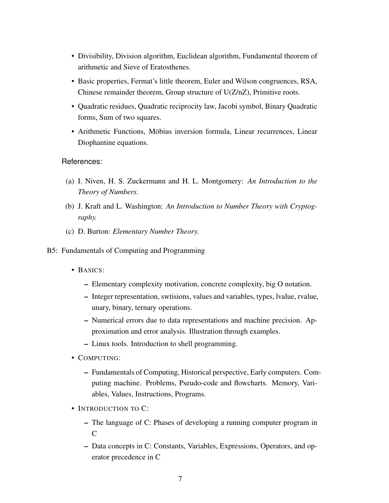- Divisibility, Division algorithm, Euclidean algorithm, Fundamental theorem of arithmetic and Sieve of Eratosthenes.
- Basic properties, Fermat's little theorem, Euler and Wilson congruences, RSA, Chinese remainder theorem, Group structure of U(Z/nZ), Primitive roots.
- Quadratic residues, Quadratic reciprocity law, Jacobi symbol, Binary Quadratic forms, Sum of two squares.
- Arithmetic Functions, Möbius inversion formula, Linear recurrences, Linear Diophantine equations.

- (a) I. Niven, H. S. Zuckermann and H. L. Montgomery: *An Introduction to the Theory of Numbers.*
- (b) J. Kraft and L. Washington: *An Introduction to Number Theory with Cryptography.*
- <span id="page-10-0"></span>(c) D. Burton: *Elementary Number Theory.*
- B5: Fundamentals of Computing and Programming
	- BASICS:
		- Elementary complexity motivation, concrete complexity, big O notation.
		- Integer representation, swtisions, values and variables, types, lvalue, rvalue, unary, binary, ternary operations.
		- Numerical errors due to data representations and machine precision. Approximation and error analysis. Illustration through examples.
		- Linux tools. Introduction to shell programming.
	- COMPUTING:
		- Fundamentals of Computing, Historical perspective, Early computers. Computing machine. Problems, Pseudo-code and flowcharts. Memory, Variables, Values, Instructions, Programs.
	- INTRODUCTION TO C:
		- The language of C: Phases of developing a running computer program in  $\overline{C}$
		- Data concepts in C: Constants, Variables, Expressions, Operators, and operator precedence in C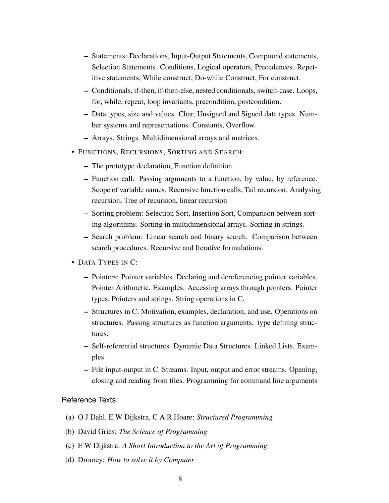- Statements: Declarations, Input-Output Statements, Compound statements, Selection Statements. Conditions, Logical operators, Precedences. Repetitive statements, While construct, Do-while Construct, For construct.
- Conditionals, if-then, if-then-else, nested conditionals, switch-case. Loops, for, while, repeat, loop invariants, precondition, postcondition.
- Data types, size and values. Char, Unsigned and Signed data types. Number systems and representations. Constants, Overflow.
- Arrays. Strings. Multidimensional arrays and matrices.
- FUNCTIONS, RECURSIONS, SORTING AND SEARCH:
	- The prototype declaration, Function definition
	- Function call: Passing arguments to a function, by value, by reference. Scope of variable names. Recursive function calls, Tail recursion. Analysing recursion, Tree of recursion, linear recursion
	- Sorting problem: Selection Sort, Insertion Sort, Comparison between sorting algorithms. Sorting in multidimensional arrays. Sorting in strings.
	- Search problem: Linear search and binary search. Comparison between search procedures. Recursive and Iterative formulations.
- DATA TYPES IN C:
	- Pointers: Pointer variables. Declaring and dereferencing pointer variables. Pointer Arithmetic. Examples. Accessing arrays through pointers. Pointer types, Pointers and strings. String operations in C.
	- Structures in C: Motivation, examples, declaration, and use. Operations on structures. Passing structures as function arguments. type defining structures.
	- Self-referential structures. Dynamic Data Structures. Linked Lists. Examples
	- File input-output in C. Streams. Input, output and error streams. Opening, closing and reading from files. Programming for command line arguments

## Reference Texts:

- (a) O J Dahl, E W Dijkstra, C A R Hoare: *Structured Programming*
- (b) David Gries: *The Science of Programming*
- (c) E W Dijkstra: *A Short Introduction to the Art of Programming*
- (d) Dromey: *How to solve it by Computer*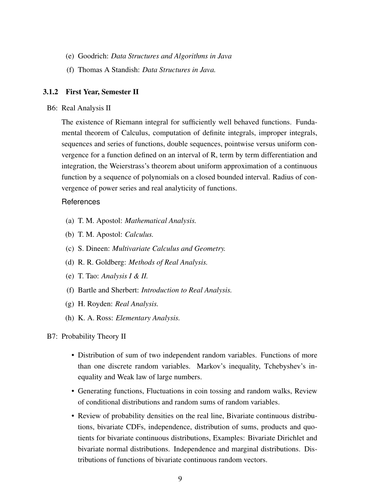- (e) Goodrich: *Data Structures and Algorithms in Java*
- (f) Thomas A Standish: *Data Structures in Java.*

#### <span id="page-12-0"></span>3.1.2 First Year, Semester II

#### B6: Real Analysis II

The existence of Riemann integral for sufficiently well behaved functions. Fundamental theorem of Calculus, computation of definite integrals, improper integrals, sequences and series of functions, double sequences, pointwise versus uniform convergence for a function defined on an interval of R, term by term differentiation and integration, the Weierstrass's theorem about uniform approximation of a continuous function by a sequence of polynomials on a closed bounded interval. Radius of convergence of power series and real analyticity of functions.

#### References

- (a) T. M. Apostol: *Mathematical Analysis.*
- (b) T. M. Apostol: *Calculus.*
- (c) S. Dineen: *Multivariate Calculus and Geometry.*
- (d) R. R. Goldberg: *Methods of Real Analysis.*
- (e) T. Tao: *Analysis I & II.*
- (f) Bartle and Sherbert: *Introduction to Real Analysis.*
- (g) H. Royden: *Real Analysis.*
- <span id="page-12-1"></span>(h) K. A. Ross: *Elementary Analysis.*

#### B7: Probability Theory II

- Distribution of sum of two independent random variables. Functions of more than one discrete random variables. Markov's inequality, Tchebyshev's inequality and Weak law of large numbers.
- Generating functions, Fluctuations in coin tossing and random walks, Review of conditional distributions and random sums of random variables.
- Review of probability densities on the real line, Bivariate continuous distributions, bivariate CDFs, independence, distribution of sums, products and quotients for bivariate continuous distributions, Examples: Bivariate Dirichlet and bivariate normal distributions. Independence and marginal distributions. Distributions of functions of bivariate continuous random vectors.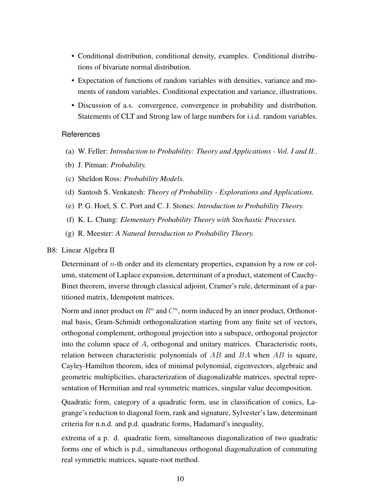- Conditional distribution, conditional density, examples. Conditional distributions of bivariate normal distribution.
- Expectation of functions of random variables with densities, variance and moments of random variables. Conditional expectation and variance, illustrations.
- Discussion of a.s. convergence, convergence in probability and distribution. Statements of CLT and Strong law of large numbers for i.i.d. random variables.

- (a) W. Feller: *Introduction to Probability: Theory and Applications Vol. I and II.*.
- (b) J. Pitman: *Probability.*
- (c) Sheldon Ross: *Probability Models.*
- (d) Santosh S. Venkatesh: *Theory of Probability Explorations and Applications.*
- (e) P. G. Hoel, S. C. Port and C. J. Stones: *Introduction to Probability Theory.*
- (f) K. L. Chung: *Elementary Probability Theory with Stochastic Processes.*
- (g) R. Meester: *A Natural Introduction to Probability Theory.*

### <span id="page-13-0"></span>B8: Linear Algebra II

Determinant of n-th order and its elementary properties, expansion by a row or column, statement of Laplace expansion, determinant of a product, statement of Cauchy-Binet theorem, inverse through classical adjoint, Cramer's rule, determinant of a partitioned matrix, Idempotent matrices.

Norm and inner product on  $R^n$  and  $C^n$ , norm induced by an inner product, Orthonormal basis, Gram-Schmidt orthogonalization starting from any finite set of vectors, orthogonal complement, orthogonal projection into a subspace, orthogonal projector into the column space of  $A$ , orthogonal and unitary matrices. Characteristic roots, relation between characteristic polynomials of  $AB$  and  $BA$  when  $AB$  is square, Cayley-Hamilton theorem, idea of minimal polynomial, eigenvectors, algebraic and geometric multiplicities, characterization of diagonalizable matrices, spectral representation of Hermitian and real symmetric matrices, singular value decomposition.

Quadratic form, category of a quadratic form, use in classification of conics, Lagrange's reduction to diagonal form, rank and signature, Sylvester's law, determinant criteria for n.n.d. and p.d. quadratic forms, Hadamard's inequality,

extrema of a p. d. quadratic form, simultaneous diagonalization of two quadratic forms one of which is p.d., simultaneous orthogonal diagonalization of commuting real symmetric matrices, square-root method.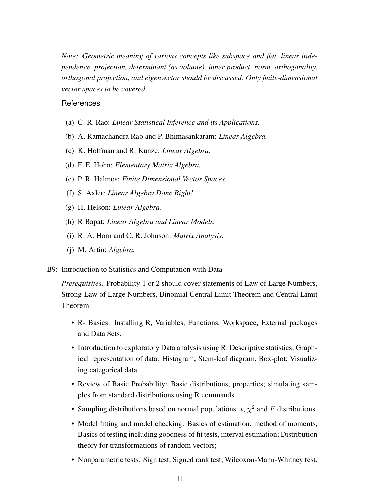*Note: Geometric meaning of various concepts like subspace and flat, linear independence, projection, determinant (as volume), inner product, norm, orthogonality, orthogonal projection, and eigenvector should be discussed. Only finite-dimensional vector spaces to be covered.*

### **References**

- (a) C. R. Rao: *Linear Statistical Inference and its Applications.*
- (b) A. Ramachandra Rao and P. Bhimasankaram: *Linear Algebra.*
- (c) K. Hoffman and R. Kunze: *Linear Algebra.*
- (d) F. E. Hohn: *Elementary Matrix Algebra.*
- (e) P. R. Halmos: *Finite Dimensional Vector Spaces.*
- (f) S. Axler: *Linear Algebra Done Right!*
- (g) H. Helson: *Linear Algebra.*
- (h) R Bapat: *Linear Algebra and Linear Models.*
- (i) R. A. Horn and C. R. Johnson: *Matrix Analysis.*
- <span id="page-14-0"></span>(j) M. Artin: *Algebra.*
- B9: Introduction to Statistics and Computation with Data

*Prerequisites:* Probability 1 or 2 should cover statements of Law of Large Numbers, Strong Law of Large Numbers, Binomial Central Limit Theorem and Central Limit Theorem.

- R- Basics: Installing R, Variables, Functions, Workspace, External packages and Data Sets.
- Introduction to exploratory Data analysis using R: Descriptive statistics; Graphical representation of data: Histogram, Stem-leaf diagram, Box-plot; Visualizing categorical data.
- Review of Basic Probability: Basic distributions, properties; simulating samples from standard distributions using R commands.
- Sampling distributions based on normal populations:  $t$ ,  $\chi^2$  and  $F$  distributions.
- Model fitting and model checking: Basics of estimation, method of moments, Basics of testing including goodness of fit tests, interval estimation; Distribution theory for transformations of random vectors;
- Nonparametric tests: Sign test, Signed rank test, Wilcoxon-Mann-Whitney test.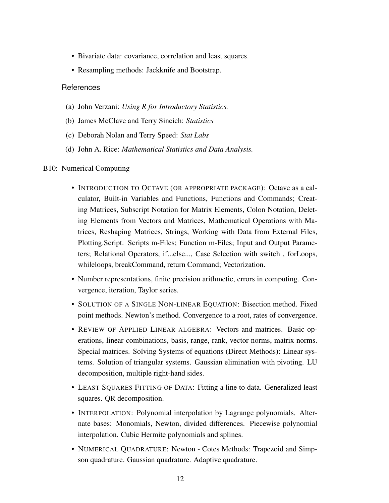- Bivariate data: covariance, correlation and least squares.
- Resampling methods: Jackknife and Bootstrap.

- (a) John Verzani: *Using R for Introductory Statistics.*
- (b) James McClave and Terry Sincich: *Statistics*
- (c) Deborah Nolan and Terry Speed: *Stat Labs*
- <span id="page-15-0"></span>(d) John A. Rice: *Mathematical Statistics and Data Analysis.*

#### B10: Numerical Computing

- INTRODUCTION TO OCTAVE (OR APPROPRIATE PACKAGE): Octave as a calculator, Built-in Variables and Functions, Functions and Commands; Creating Matrices, Subscript Notation for Matrix Elements, Colon Notation, Deleting Elements from Vectors and Matrices, Mathematical Operations with Matrices, Reshaping Matrices, Strings, Working with Data from External Files, Plotting.Script. Scripts m-Files; Function m-Files; Input and Output Parameters; Relational Operators, if...else..., Case Selection with switch , forLoops, whileloops, breakCommand, return Command; Vectorization.
- Number representations, finite precision arithmetic, errors in computing. Convergence, iteration, Taylor series.
- SOLUTION OF A SINGLE NON-LINEAR EQUATION: Bisection method. Fixed point methods. Newton's method. Convergence to a root, rates of convergence.
- REVIEW OF APPLIED LINEAR ALGEBRA: Vectors and matrices. Basic operations, linear combinations, basis, range, rank, vector norms, matrix norms. Special matrices. Solving Systems of equations (Direct Methods): Linear systems. Solution of triangular systems. Gaussian elimination with pivoting. LU decomposition, multiple right-hand sides.
- LEAST SQUARES FITTING OF DATA: Fitting a line to data. Generalized least squares. QR decomposition.
- INTERPOLATION: Polynomial interpolation by Lagrange polynomials. Alternate bases: Monomials, Newton, divided differences. Piecewise polynomial interpolation. Cubic Hermite polynomials and splines.
- NUMERICAL QUADRATURE: Newton Cotes Methods: Trapezoid and Simpson quadrature. Gaussian quadrature. Adaptive quadrature.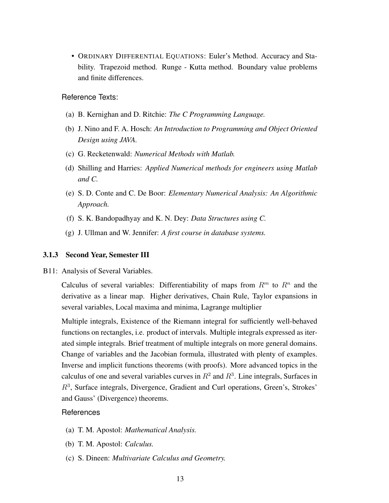• ORDINARY DIFFERENTIAL EQUATIONS: Euler's Method. Accuracy and Stability. Trapezoid method. Runge - Kutta method. Boundary value problems and finite differences.

Reference Texts:

- (a) B. Kernighan and D. Ritchie: *The C Programming Language.*
- (b) J. Nino and F. A. Hosch: *An Introduction to Programming and Object Oriented Design using JAVA.*
- (c) G. Recketenwald: *Numerical Methods with Matlab.*
- (d) Shilling and Harries: *Applied Numerical methods for engineers using Matlab and C.*
- (e) S. D. Conte and C. De Boor: *Elementary Numerical Analysis: An Algorithmic Approach.*
- (f) S. K. Bandopadhyay and K. N. Dey: *Data Structures using C.*
- (g) J. Ullman and W. Jennifer: *A first course in database systems.*

#### <span id="page-16-0"></span>3.1.3 Second Year, Semester III

B11: Analysis of Several Variables.

Calculus of several variables: Differentiability of maps from  $R<sup>m</sup>$  to  $R<sup>n</sup>$  and the derivative as a linear map. Higher derivatives, Chain Rule, Taylor expansions in several variables, Local maxima and minima, Lagrange multiplier

Multiple integrals, Existence of the Riemann integral for sufficiently well-behaved functions on rectangles, i.e. product of intervals. Multiple integrals expressed as iterated simple integrals. Brief treatment of multiple integrals on more general domains. Change of variables and the Jacobian formula, illustrated with plenty of examples. Inverse and implicit functions theorems (with proofs). More advanced topics in the calculus of one and several variables curves in  $R^2$  and  $R^3$ . Line integrals, Surfaces in  $R<sup>3</sup>$ , Surface integrals, Divergence, Gradient and Curl operations, Green's, Strokes' and Gauss' (Divergence) theorems.

- (a) T. M. Apostol: *Mathematical Analysis.*
- (b) T. M. Apostol: *Calculus.*
- (c) S. Dineen: *Multivariate Calculus and Geometry.*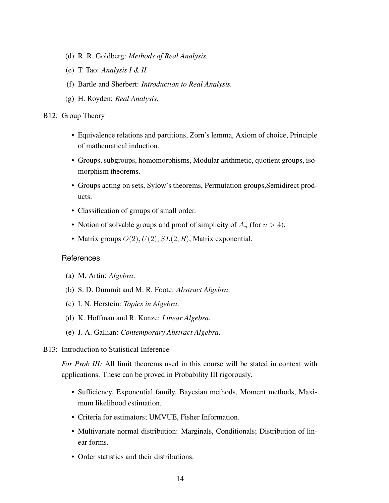- (d) R. R. Goldberg: *Methods of Real Analysis.*
- (e) T. Tao: *Analysis I & II.*
- (f) Bartle and Sherbert: *Introduction to Real Analysis.*
- <span id="page-17-0"></span>(g) H. Royden: *Real Analysis.*

#### B12: Group Theory

- Equivalence relations and partitions, Zorn's lemma, Axiom of choice, Principle of mathematical induction.
- Groups, subgroups, homomorphisms, Modular arithmetic, quotient groups, isomorphism theorems.
- Groups acting on sets, Sylow's theorems, Permutation groups,Semidirect products.
- Classification of groups of small order.
- Notion of solvable groups and proof of simplicity of  $A_n$  (for  $n > 4$ ).
- Matrix groups  $O(2)$ ,  $U(2)$ ,  $SL(2, R)$ , Matrix exponential.

#### **References**

- (a) M. Artin: *Algebra*.
- (b) S. D. Dummit and M. R. Foote: *Abstract Algebra*.
- (c) I. N. Herstein: *Topics in Algebra*.
- (d) K. Hoffman and R. Kunze: *Linear Algebra*.
- <span id="page-17-1"></span>(e) J. A. Gallian: *Contemporary Abstract Algebra*.
- B13: Introduction to Statistical Inference

*For Prob III:* All limit theorems used in this course will be stated in context with applications. These can be proved in Probability III rigorously.

- Sufficiency, Exponential family, Bayesian methods, Moment methods, Maximum likelihood estimation.
- Criteria for estimators; UMVUE, Fisher Information.
- Multivariate normal distribution: Marginals, Conditionals; Distribution of linear forms.
- Order statistics and their distributions.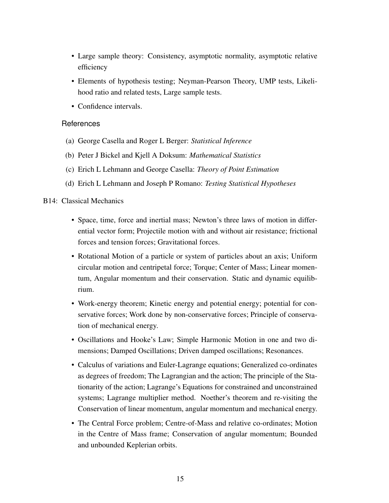- Large sample theory: Consistency, asymptotic normality, asymptotic relative efficiency
- Elements of hypothesis testing; Neyman-Pearson Theory, UMP tests, Likelihood ratio and related tests, Large sample tests.
- Confidence intervals.

- (a) George Casella and Roger L Berger: *Statistical Inference*
- (b) Peter J Bickel and Kjell A Doksum: *Mathematical Statistics*
- (c) Erich L Lehmann and George Casella: *Theory of Point Estimation*
- (d) Erich L Lehmann and Joseph P Romano: *Testing Statistical Hypotheses*

## <span id="page-18-0"></span>B14: Classical Mechanics

- Space, time, force and inertial mass; Newton's three laws of motion in differential vector form; Projectile motion with and without air resistance; frictional forces and tension forces; Gravitational forces.
- Rotational Motion of a particle or system of particles about an axis; Uniform circular motion and centripetal force; Torque; Center of Mass; Linear momentum, Angular momentum and their conservation. Static and dynamic equilibrium.
- Work-energy theorem; Kinetic energy and potential energy; potential for conservative forces; Work done by non-conservative forces; Principle of conservation of mechanical energy.
- Oscillations and Hooke's Law; Simple Harmonic Motion in one and two dimensions; Damped Oscillations; Driven damped oscillations; Resonances.
- Calculus of variations and Euler-Lagrange equations; Generalized co-ordinates as degrees of freedom; The Lagrangian and the action; The principle of the Stationarity of the action; Lagrange's Equations for constrained and unconstrained systems; Lagrange multiplier method. Noether's theorem and re-visiting the Conservation of linear momentum, angular momentum and mechanical energy.
- The Central Force problem; Centre-of-Mass and relative co-ordinates; Motion in the Centre of Mass frame; Conservation of angular momentum; Bounded and unbounded Keplerian orbits.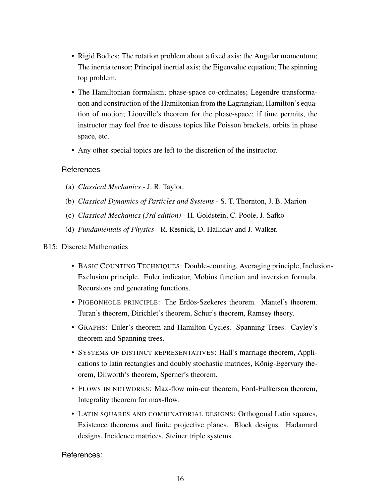- Rigid Bodies: The rotation problem about a fixed axis; the Angular momentum; The inertia tensor; Principal inertial axis; the Eigenvalue equation; The spinning top problem.
- The Hamiltonian formalism; phase-space co-ordinates; Legendre transformation and construction of the Hamiltonian from the Lagrangian; Hamilton's equation of motion; Liouville's theorem for the phase-space; if time permits, the instructor may feel free to discuss topics like Poisson brackets, orbits in phase space, etc.
- Any other special topics are left to the discretion of the instructor.

- (a) *Classical Mechanics* J. R. Taylor.
- (b) *Classical Dynamics of Particles and Systems* S. T. Thornton, J. B. Marion
- (c) *Classical Mechanics (3rd edition)* H. Goldstein, C. Poole, J. Safko
- (d) *Fundamentals of Physics* R. Resnick, D. Halliday and J. Walker.

## <span id="page-19-0"></span>B15: Discrete Mathematics

- BASIC COUNTING TECHNIQUES: Double-counting, Averaging principle, Inclusion-Exclusion principle. Euler indicator, Möbius function and inversion formula. Recursions and generating functions.
- PIGEONHOLE PRINCIPLE: The Erdös-Szekeres theorem. Mantel's theorem. Turan's theorem, Dirichlet's theorem, Schur's theorem, Ramsey theory.
- GRAPHS: Euler's theorem and Hamilton Cycles. Spanning Trees. Cayley's theorem and Spanning trees.
- SYSTEMS OF DISTINCT REPRESENTATIVES: Hall's marriage theorem, Applications to latin rectangles and doubly stochastic matrices, König-Egervary theorem, Dilworth's theorem, Sperner's theorem.
- FLOWS IN NETWORKS: Max-flow min-cut theorem, Ford-Fulkerson theorem, Integrality theorem for max-flow.
- LATIN SOUARES AND COMBINATORIAL DESIGNS: Orthogonal Latin squares, Existence theorems and finite projective planes. Block designs. Hadamard designs, Incidence matrices. Steiner triple systems.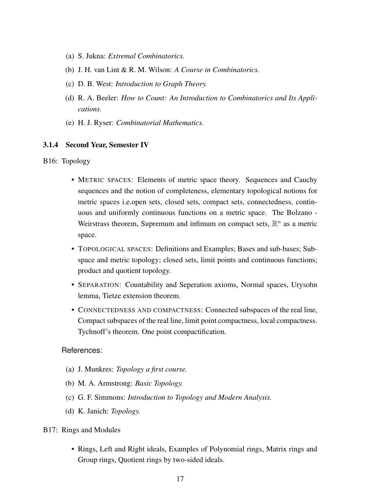- (a) S. Jukna: *Extremal Combinatorics.*
- (b) J. H. van Lint & R. M. Wilson: *A Course in Combinatorics.*
- (c) D. B. West: *Introduction to Graph Theory.*
- (d) R. A. Beeler: *How to Count: An Introduction to Combinatorics and Its Applications.*
- (e) H. J. Ryser: *Combinatorial Mathematics.*

#### <span id="page-20-0"></span>3.1.4 Second Year, Semester IV

#### B16: Topology

- METRIC SPACES: Elements of metric space theory. Sequences and Cauchy sequences and the notion of completeness, elementary topological notions for metric spaces i.e.open sets, closed sets, compact sets, connectedness, continuous and uniformly continuous functions on a metric space. The Bolzano - Weirstrass theorem, Supremum and infimum on compact sets,  $\mathbb{R}^n$  as a metric space.
- TOPOLOGICAL SPACES: Definitions and Examples; Bases and sub-bases; Subspace and metric topology; closed sets, limit points and continuous functions; product and quotient topology.
- SEPARATION: Countability and Seperation axioms, Normal spaces, Urysohn lemma, Tietze extension theorem.
- CONNECTEDNESS AND COMPACTNESS: Connected subspaces of the real line, Compact subspaces of the real line, limit point compactness, local compactness. Tychnoff's theorem. One point compactification.

- (a) J. Munkres: *Topology a first course.*
- (b) M. A. Armstrong: *Basic Topology.*
- (c) G. F. Simmons: *Introduction to Topology and Modern Analysis.*
- <span id="page-20-1"></span>(d) K. Janich: *Topology.*
- B17: Rings and Modules
	- Rings, Left and Right ideals, Examples of Polynomial rings, Matrix rings and Group rings, Quotient rings by two-sided ideals.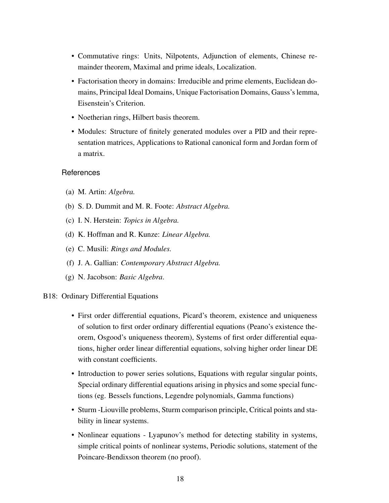- Commutative rings: Units, Nilpotents, Adjunction of elements, Chinese remainder theorem, Maximal and prime ideals, Localization.
- Factorisation theory in domains: Irreducible and prime elements, Euclidean domains, Principal Ideal Domains, Unique Factorisation Domains, Gauss's lemma, Eisenstein's Criterion.
- Noetherian rings, Hilbert basis theorem.
- Modules: Structure of finitely generated modules over a PID and their representation matrices, Applications to Rational canonical form and Jordan form of a matrix.

- (a) M. Artin: *Algebra.*
- (b) S. D. Dummit and M. R. Foote: *Abstract Algebra.*
- (c) I. N. Herstein: *Topics in Algebra.*
- (d) K. Hoffman and R. Kunze: *Linear Algebra.*
- (e) C. Musili: *Rings and Modules.*
- (f) J. A. Gallian: *Contemporary Abstract Algebra.*
- <span id="page-21-0"></span>(g) N. Jacobson: *Basic Algebra*.

#### B18: Ordinary Differential Equations

- First order differential equations, Picard's theorem, existence and uniqueness of solution to first order ordinary differential equations (Peano's existence theorem, Osgood's uniqueness theorem), Systems of first order differential equations, higher order linear differential equations, solving higher order linear DE with constant coefficients.
- Introduction to power series solutions, Equations with regular singular points, Special ordinary differential equations arising in physics and some special functions (eg. Bessels functions, Legendre polynomials, Gamma functions)
- Sturm -Liouville problems, Sturm comparison principle, Critical points and stability in linear systems.
- Nonlinear equations Lyapunov's method for detecting stability in systems, simple critical points of nonlinear systems, Periodic solutions, statement of the Poincare-Bendixson theorem (no proof).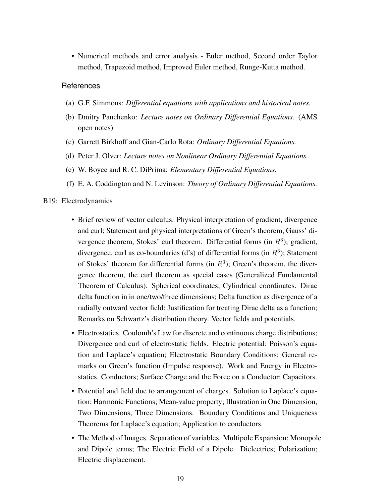• Numerical methods and error analysis - Euler method, Second order Taylor method, Trapezoid method, Improved Euler method, Runge-Kutta method.

#### References

- (a) G.F. Simmons: *Differential equations with applications and historical notes.*
- (b) Dmitry Panchenko: *Lecture notes on Ordinary Differential Equations.* (AMS open notes)
- (c) Garrett Birkhoff and Gian-Carlo Rota: *Ordinary Differential Equations.*
- (d) Peter J. Olver: *Lecture notes on Nonlinear Ordinary Differential Equations.*
- (e) W. Boyce and R. C. DiPrima: *Elementary Differential Equations.*
- (f) E. A. Coddington and N. Levinson: *Theory of Ordinary Differential Equations.*

#### <span id="page-22-0"></span>B19: Electrodynamics

- Brief review of vector calculus. Physical interpretation of gradient, divergence and curl; Statement and physical interpretations of Green's theorem, Gauss' divergence theorem, Stokes' curl theorem. Differential forms (in  $R<sup>3</sup>$ ); gradient, divergence, curl as co-boundaries (d's) of differential forms (in  $R^3$ ); Statement of Stokes' theorem for differential forms (in  $R^3$ ); Green's theorem, the divergence theorem, the curl theorem as special cases (Generalized Fundamental Theorem of Calculus). Spherical coordinates; Cylindrical coordinates. Dirac delta function in in one/two/three dimensions; Delta function as divergence of a radially outward vector field; Justification for treating Dirac delta as a function; Remarks on Schwartz's distribution theory. Vector fields and potentials.
- Electrostatics. Coulomb's Law for discrete and continuous charge distributions; Divergence and curl of electrostatic fields. Electric potential; Poisson's equation and Laplace's equation; Electrostatic Boundary Conditions; General remarks on Green's function (Impulse response). Work and Energy in Electrostatics. Conductors; Surface Charge and the Force on a Conductor; Capacitors.
- Potential and field due to arrangement of charges. Solution to Laplace's equation; Harmonic Functions; Mean-value property; Illustration in One Dimension, Two Dimensions, Three Dimensions. Boundary Conditions and Uniqueness Theorems for Laplace's equation; Application to conductors.
- The Method of Images. Separation of variables. Multipole Expansion; Monopole and Dipole terms; The Electric Field of a Dipole. Dielectrics; Polarization; Electric displacement.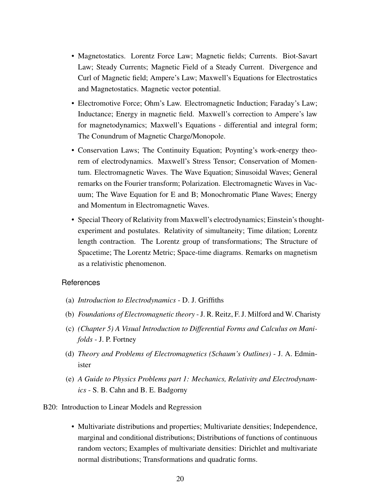- Magnetostatics. Lorentz Force Law; Magnetic fields; Currents. Biot-Savart Law; Steady Currents; Magnetic Field of a Steady Current. Divergence and Curl of Magnetic field; Ampere's Law; Maxwell's Equations for Electrostatics and Magnetostatics. Magnetic vector potential.
- Electromotive Force; Ohm's Law. Electromagnetic Induction; Faraday's Law; Inductance; Energy in magnetic field. Maxwell's correction to Ampere's law for magnetodynamics; Maxwell's Equations - differential and integral form; The Conundrum of Magnetic Charge/Monopole.
- Conservation Laws; The Continuity Equation; Poynting's work-energy theorem of electrodynamics. Maxwell's Stress Tensor; Conservation of Momentum. Electromagnetic Waves. The Wave Equation; Sinusoidal Waves; General remarks on the Fourier transform; Polarization. Electromagnetic Waves in Vacuum; The Wave Equation for E and B; Monochromatic Plane Waves; Energy and Momentum in Electromagnetic Waves.
- Special Theory of Relativity from Maxwell's electrodynamics; Einstein's thoughtexperiment and postulates. Relativity of simultaneity; Time dilation; Lorentz length contraction. The Lorentz group of transformations; The Structure of Spacetime; The Lorentz Metric; Space-time diagrams. Remarks on magnetism as a relativistic phenomenon.

- (a) *Introduction to Electrodynamics* D. J. Griffiths
- (b) *Foundations of Electromagnetic theory* J. R. Reitz, F. J. Milford and W. Charisty
- (c) *(Chapter 5) A Visual Introduction to Differential Forms and Calculus on Manifolds* - J. P. Fortney
- (d) *Theory and Problems of Electromagnetics (Schaum's Outlines)* J. A. Edminister
- <span id="page-23-0"></span>(e) *A Guide to Physics Problems part 1: Mechanics, Relativity and Electrodynamics* - S. B. Cahn and B. E. Badgorny

#### B20: Introduction to Linear Models and Regression

• Multivariate distributions and properties; Multivariate densities; Independence, marginal and conditional distributions; Distributions of functions of continuous random vectors; Examples of multivariate densities: Dirichlet and multivariate normal distributions; Transformations and quadratic forms.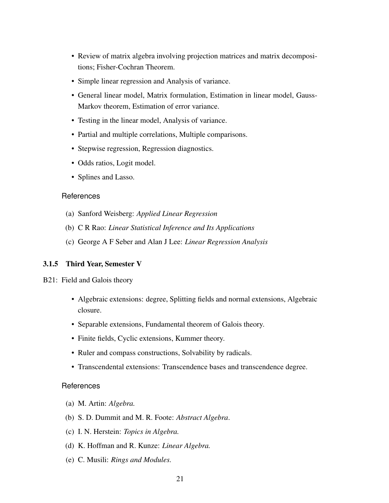- Review of matrix algebra involving projection matrices and matrix decompositions; Fisher-Cochran Theorem.
- Simple linear regression and Analysis of variance.
- General linear model, Matrix formulation, Estimation in linear model, Gauss-Markov theorem, Estimation of error variance.
- Testing in the linear model, Analysis of variance.
- Partial and multiple correlations, Multiple comparisons.
- Stepwise regression, Regression diagnostics.
- Odds ratios, Logit model.
- Splines and Lasso.

- (a) Sanford Weisberg: *Applied Linear Regression*
- (b) C R Rao: *Linear Statistical Inference and Its Applications*
- (c) George A F Seber and Alan J Lee: *Linear Regression Analysis*

#### <span id="page-24-0"></span>3.1.5 Third Year, Semester V

- B21: Field and Galois theory
	- Algebraic extensions: degree, Splitting fields and normal extensions, Algebraic closure.
	- Separable extensions, Fundamental theorem of Galois theory.
	- Finite fields, Cyclic extensions, Kummer theory.
	- Ruler and compass constructions, Solvability by radicals.
	- Transcendental extensions: Transcendence bases and transcendence degree.

- (a) M. Artin: *Algebra.*
- (b) S. D. Dummit and M. R. Foote: *Abstract Algebra*.
- (c) I. N. Herstein: *Topics in Algebra.*
- (d) K. Hoffman and R. Kunze: *Linear Algebra.*
- (e) C. Musili: *Rings and Modules.*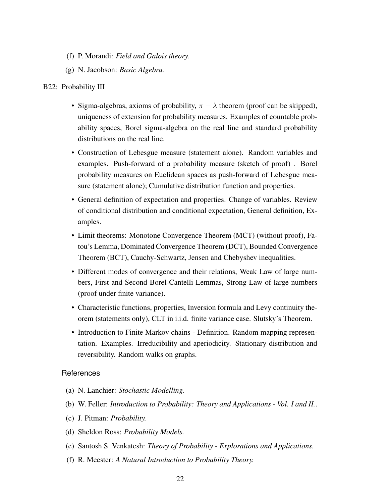- (f) P. Morandi: *Field and Galois theory.*
- <span id="page-25-0"></span>(g) N. Jacobson: *Basic Algebra.*

#### B22: Probability III

- Sigma-algebras, axioms of probability,  $\pi \lambda$  theorem (proof can be skipped), uniqueness of extension for probability measures. Examples of countable probability spaces, Borel sigma-algebra on the real line and standard probability distributions on the real line.
- Construction of Lebesgue measure (statement alone). Random variables and examples. Push-forward of a probability measure (sketch of proof) . Borel probability measures on Euclidean spaces as push-forward of Lebesgue measure (statement alone); Cumulative distribution function and properties.
- General definition of expectation and properties. Change of variables. Review of conditional distribution and conditional expectation, General definition, Examples.
- Limit theorems: Monotone Convergence Theorem (MCT) (without proof), Fatou's Lemma, Dominated Convergence Theorem (DCT), Bounded Convergence Theorem (BCT), Cauchy-Schwartz, Jensen and Chebyshev inequalities.
- Different modes of convergence and their relations, Weak Law of large numbers, First and Second Borel-Cantelli Lemmas, Strong Law of large numbers (proof under finite variance).
- Characteristic functions, properties, Inversion formula and Levy continuity theorem (statements only), CLT in i.i.d. finite variance case. Slutsky's Theorem.
- Introduction to Finite Markov chains Definition. Random mapping representation. Examples. Irreducibility and aperiodicity. Stationary distribution and reversibility. Random walks on graphs.

- (a) N. Lanchier: *Stochastic Modelling.*
- (b) W. Feller: *Introduction to Probability: Theory and Applications Vol. I and II.*.
- (c) J. Pitman: *Probability.*
- (d) Sheldon Ross: *Probability Models.*
- (e) Santosh S. Venkatesh: *Theory of Probability Explorations and Applications.*
- (f) R. Meester: *A Natural Introduction to Probability Theory.*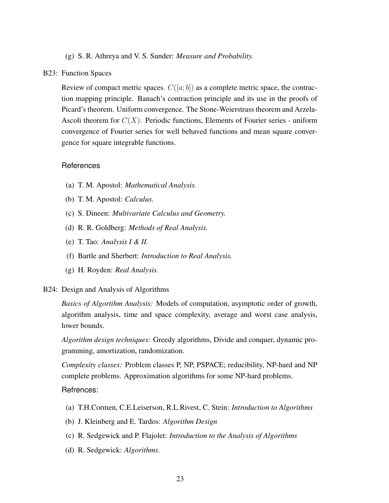#### (g) S. R. Athreya and V. S. Sunder: *Measure and Probability.*

#### <span id="page-26-1"></span>B23: Function Spaces

Review of compact metric spaces.  $C([a, b])$  as a complete metric space, the contraction mapping principle. Banach's contraction principle and its use in the proofs of Picard's theorem. Uniform convergence. The Stone-Weierstrass theorem and Arzela-Ascoli theorem for  $C(X)$ . Periodic functions, Elements of Fourier series - uniform convergence of Fourier series for well behaved functions and mean square convergence for square integrable functions.

#### References

- (a) T. M. Apostol: *Mathematical Analysis.*
- (b) T. M. Apostol: *Calculus.*
- (c) S. Dineen: *Multivariate Calculus and Geometry.*
- (d) R. R. Goldberg: *Methods of Real Analysis.*
- (e) T. Tao: *Analysis I & II.*
- (f) Bartle and Sherbert: *Introduction to Real Analysis.*
- <span id="page-26-0"></span>(g) H. Royden: *Real Analysis.*

#### B24: Design and Analysis of Algorithms

*Basics of Algortihm Analysis:* Models of computation, asymptotic order of growth, algorithm analysis, time and space complexity, average and worst case analysis, lower bounds.

*Algorithm design techniques:* Greedy algorithms, Divide and conquer, dynamic programming, amortization, randomization.

*Complexity classes:* Problem classes P, NP, PSPACE; reducibility, NP-hard and NP complete problems. Approximation algorithms for some NP-hard problems.

- (a) T.H.Cormen, C.E.Leiserson, R.L.Rivest, C. Stein: *Introduction to Algorithms*
- (b) J. Kleinberg and E. Tardos: *Algorithm Design*
- (c) R. Sedgewick and P. Flajolet: *Introduction to the Analysis of Algorithms*
- (d) R. Sedgewick: *Algorithms.*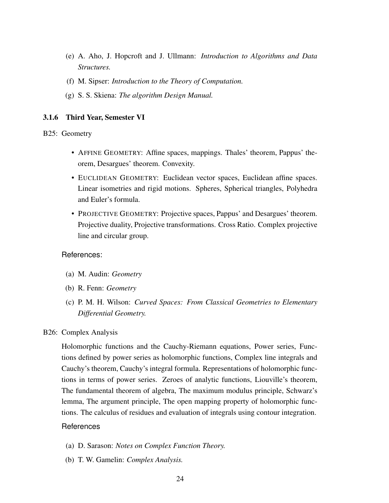- (e) A. Aho, J. Hopcroft and J. Ullmann: *Introduction to Algorithms and Data Structures.*
- (f) M. Sipser: *Introduction to the Theory of Computation.*
- (g) S. S. Skiena: *The algorithm Design Manual.*

## <span id="page-27-0"></span>3.1.6 Third Year, Semester VI

### B25: Geometry

- AFFINE GEOMETRY: Affine spaces, mappings. Thales' theorem, Pappus' theorem, Desargues' theorem. Convexity.
- EUCLIDEAN GEOMETRY: Euclidean vector spaces, Euclidean affine spaces. Linear isometries and rigid motions. Spheres, Spherical triangles, Polyhedra and Euler's formula.
- PROJECTIVE GEOMETRY: Projective spaces, Pappus' and Desargues' theorem. Projective duality, Projective transformations. Cross Ratio. Complex projective line and circular group.

#### References:

- (a) M. Audin: *Geometry*
- (b) R. Fenn: *Geometry*
- <span id="page-27-1"></span>(c) P. M. H. Wilson: *Curved Spaces: From Classical Geometries to Elementary Differential Geometry.*

#### B26: Complex Analysis

Holomorphic functions and the Cauchy-Riemann equations, Power series, Functions defined by power series as holomorphic functions, Complex line integrals and Cauchy's theorem, Cauchy's integral formula. Representations of holomorphic functions in terms of power series. Zeroes of analytic functions, Liouville's theorem, The fundamental theorem of algebra, The maximum modulus principle, Schwarz's lemma, The argument principle, The open mapping property of holomorphic functions. The calculus of residues and evaluation of integrals using contour integration.

- (a) D. Sarason: *Notes on Complex Function Theory.*
- (b) T. W. Gamelin: *Complex Analysis.*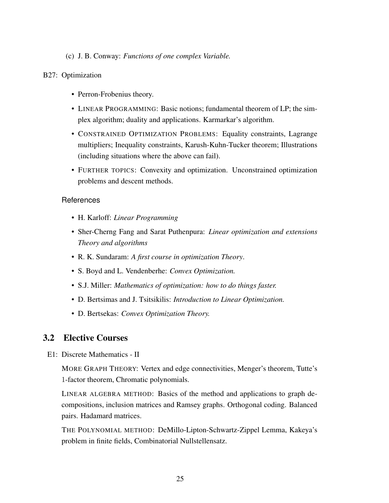## (c) J. B. Conway: *Functions of one complex Variable.*

## <span id="page-28-1"></span>B27: Optimization

- Perron-Frobenius theory.
- LINEAR PROGRAMMING: Basic notions; fundamental theorem of LP; the simplex algorithm; duality and applications. Karmarkar's algorithm.
- CONSTRAINED OPTIMIZATION PROBLEMS: Equality constraints, Lagrange multipliers; Inequality constraints, Karush-Kuhn-Tucker theorem; Illustrations (including situations where the above can fail).
- FURTHER TOPICS: Convexity and optimization. Unconstrained optimization problems and descent methods.

## **References**

- H. Karloff: *Linear Programming*
- Sher-Cherng Fang and Sarat Puthenpura: *Linear optimization and extensions Theory and algorithms*
- R. K. Sundaram: *A first course in optimization Theory*.
- S. Boyd and L. Vendenberhe: *Convex Optimization.*
- S.J. Miller: *Mathematics of optimization: how to do things faster.*
- D. Bertsimas and J. Tsitsikilis: *Introduction to Linear Optimization.*
- D. Bertsekas: *Convex Optimization Theory.*

## <span id="page-28-0"></span>3.2 Elective Courses

E1: Discrete Mathematics - II

MORE GRAPH THEORY: Vertex and edge connectivities, Menger's theorem, Tutte's 1-factor theorem, Chromatic polynomials.

LINEAR ALGEBRA METHOD: Basics of the method and applications to graph decompositions, inclusion matrices and Ramsey graphs. Orthogonal coding. Balanced pairs. Hadamard matrices.

THE POLYNOMIAL METHOD: DeMillo-Lipton-Schwartz-Zippel Lemma, Kakeya's problem in finite fields, Combinatorial Nullstellensatz.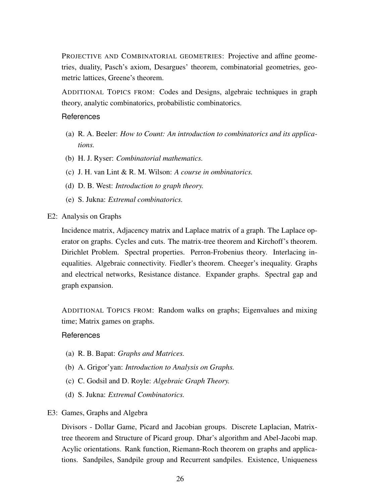PROJECTIVE AND COMBINATORIAL GEOMETRIES: Projective and affine geometries, duality, Pasch's axiom, Desargues' theorem, combinatorial geometries, geometric lattices, Greene's theorem.

ADDITIONAL TOPICS FROM: Codes and Designs, algebraic techniques in graph theory, analytic combinatorics, probabilistic combinatorics.

#### References

- (a) R. A. Beeler: *How to Count: An introduction to combinatorics and its applications.*
- (b) H. J. Ryser: *Combinatorial mathematics.*
- (c) J. H. van Lint & R. M. Wilson: *A course in ombinatorics.*
- (d) D. B. West: *Introduction to graph theory.*
- (e) S. Jukna: *Extremal combinatorics.*
- <span id="page-29-0"></span>E2: Analysis on Graphs

Incidence matrix, Adjacency matrix and Laplace matrix of a graph. The Laplace operator on graphs. Cycles and cuts. The matrix-tree theorem and Kirchoff's theorem. Dirichlet Problem. Spectral properties. Perron-Frobenius theory. Interlacing inequalities. Algebraic connectivity. Fiedler's theorem. Cheeger's inequality. Graphs and electrical networks, Resistance distance. Expander graphs. Spectral gap and graph expansion.

ADDITIONAL TOPICS FROM: Random walks on graphs; Eigenvalues and mixing time; Matrix games on graphs.

#### References

- (a) R. B. Bapat: *Graphs and Matrices.*
- (b) A. Grigor'yan: *Introduction to Analysis on Graphs.*
- (c) C. Godsil and D. Royle: *Algebraic Graph Theory.*
- <span id="page-29-1"></span>(d) S. Jukna: *Extremal Combinatorics.*
- E3: Games, Graphs and Algebra

Divisors - Dollar Game, Picard and Jacobian groups. Discrete Laplacian, Matrixtree theorem and Structure of Picard group. Dhar's algorithm and Abel-Jacobi map. Acylic orientations. Rank function, Riemann-Roch theorem on graphs and applications. Sandpiles, Sandpile group and Recurrent sandpiles. Existence, Uniqueness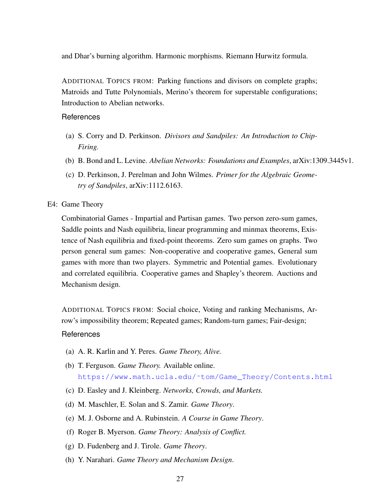and Dhar's burning algorithm. Harmonic morphisms. Riemann Hurwitz formula.

ADDITIONAL TOPICS FROM: Parking functions and divisors on complete graphs; Matroids and Tutte Polynomials, Merino's theorem for superstable configurations; Introduction to Abelian networks.

## References

- (a) S. Corry and D. Perkinson. *Divisors and Sandpiles: An Introduction to Chip-Firing.*
- (b) B. Bond and L. Levine. *Abelian Networks: Foundations and Examples*, arXiv:1309.3445v1.
- <span id="page-30-0"></span>(c) D. Perkinson, J. Perelman and John Wilmes. *Primer for the Algebraic Geometry of Sandpiles*, arXiv:1112.6163.

#### E4: Game Theory

Combinatorial Games - Impartial and Partisan games. Two person zero-sum games, Saddle points and Nash equilibria, linear programming and minmax theorems, Existence of Nash equilibria and fixed-point theorems. Zero sum games on graphs. Two person general sum games: Non-cooperative and cooperative games, General sum games with more than two players. Symmetric and Potential games. Evolutionary and correlated equilibria. Cooperative games and Shapley's theorem. Auctions and Mechanism design.

ADDITIONAL TOPICS FROM: Social choice, Voting and ranking Mechanisms, Arrow's impossibility theorem; Repeated games; Random-turn games; Fair-design;

- (a) A. R. Karlin and Y. Peres. *Game Theory, Alive.*
- (b) T. Ferguson. *Game Theory.* Available online. [https://www.math.ucla.edu/˜tom/Game\\_Theory/Contents.html](https://www.math.ucla.edu/~tom/Game_Theory/Contents.html)
- (c) D. Easley and J. Kleinberg. *Networks, Crowds, and Markets.*
- (d) M. Maschler, E. Solan and S. Zamir. *Game Theory*.
- (e) M. J. Osborne and A. Rubinstein. *A Course in Game Theory*.
- (f) Roger B. Myerson. *Game Theory: Analysis of Conflict.*
- (g) D. Fudenberg and J. Tirole. *Game Theory*.
- <span id="page-30-1"></span>(h) Y. Narahari. *Game Theory and Mechanism Design*.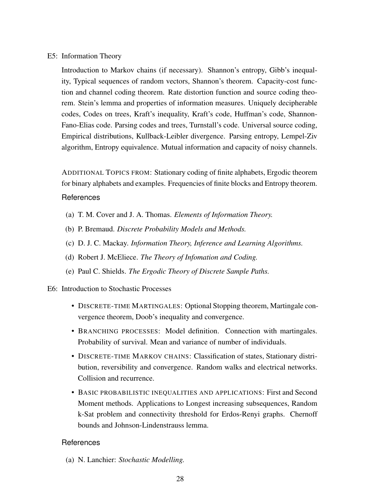## E5: Information Theory

Introduction to Markov chains (if necessary). Shannon's entropy, Gibb's inequality, Typical sequences of random vectors, Shannon's theorem. Capacity-cost function and channel coding theorem. Rate distortion function and source coding theorem. Stein's lemma and properties of information measures. Uniquely decipherable codes, Codes on trees, Kraft's inequality, Kraft's code, Huffman's code, Shannon-Fano-Elias code. Parsing codes and trees, Turnstall's code. Universal source coding, Empirical distributions, Kullback-Leibler divergence. Parsing entropy, Lempel-Ziv algorithm, Entropy equivalence. Mutual information and capacity of noisy channels.

ADDITIONAL TOPICS FROM: Stationary coding of finite alphabets, Ergodic theorem for binary alphabets and examples. Frequencies of finite blocks and Entropy theorem.

## References

- (a) T. M. Cover and J. A. Thomas. *Elements of Information Theory.*
- (b) P. Bremaud. *Discrete Probability Models and Methods.*
- (c) D. J. C. Mackay. *Information Theory, Inference and Learning Algorithms.*
- (d) Robert J. McEliece. *The Theory of Infomation and Coding.*
- <span id="page-31-0"></span>(e) Paul C. Shields. *The Ergodic Theory of Discrete Sample Paths.*

#### E6: Introduction to Stochastic Processes

- DISCRETE-TIME MARTINGALES: Optional Stopping theorem, Martingale convergence theorem, Doob's inequality and convergence.
- BRANCHING PROCESSES: Model definition. Connection with martingales. Probability of survival. Mean and variance of number of individuals.
- DISCRETE-TIME MARKOV CHAINS: Classification of states, Stationary distribution, reversibility and convergence. Random walks and electrical networks. Collision and recurrence.
- BASIC PROBABILISTIC INEQUALITIES AND APPLICATIONS: First and Second Moment methods. Applications to Longest increasing subsequences, Random k-Sat problem and connectivity threshold for Erdos-Renyi graphs. Chernoff bounds and Johnson-Lindenstrauss lemma.

#### References

(a) N. Lanchier: *Stochastic Modelling.*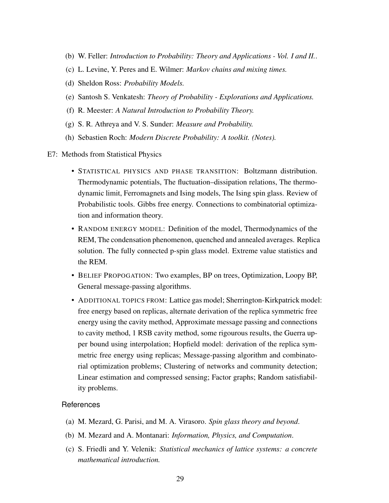- (b) W. Feller: *Introduction to Probability: Theory and Applications Vol. I and II.*.
- (c) L. Levine, Y. Peres and E. Wilmer: *Markov chains and mixing times.*
- (d) Sheldon Ross: *Probability Models.*
- (e) Santosh S. Venkatesh: *Theory of Probability Explorations and Applications.*
- (f) R. Meester: *A Natural Introduction to Probability Theory.*
- (g) S. R. Athreya and V. S. Sunder: *Measure and Probability.*
- (h) Sebastien Roch: *Modern Discrete Probability: A toolkit. (Notes).*
- <span id="page-32-0"></span>E7: Methods from Statistical Physics
	- STATISTICAL PHYSICS AND PHASE TRANSITION: Boltzmann distribution. Thermodynamic potentials, The fluctuation–dissipation relations, The thermodynamic limit, Ferromagnets and Ising models, The Ising spin glass. Review of Probabilistic tools. Gibbs free energy. Connections to combinatorial optimization and information theory.
	- RANDOM ENERGY MODEL: Definition of the model, Thermodynamics of the REM, The condensation phenomenon, quenched and annealed averages. Replica solution. The fully connected p-spin glass model. Extreme value statistics and the REM.
	- BELIEF PROPOGATION: Two examples, BP on trees, Optimization, Loopy BP, General message-passing algorithms.
	- ADDITIONAL TOPICS FROM: Lattice gas model; Sherrington-Kirkpatrick model: free energy based on replicas, alternate derivation of the replica symmetric free energy using the cavity method, Approximate message passing and connections to cavity method, 1 RSB cavity method, some rigourous results, the Guerra upper bound using interpolation; Hopfield model: derivation of the replica symmetric free energy using replicas; Message-passing algorithm and combinatorial optimization problems; Clustering of networks and community detection; Linear estimation and compressed sensing; Factor graphs; Random satisfiability problems.

- (a) M. Mezard, G. Parisi, and M. A. Virasoro. *Spin glass theory and beyond*.
- (b) M. Mezard and A. Montanari: *Information, Physics, and Computation*.
- (c) S. Friedli and Y. Velenik: *Statistical mechanics of lattice systems: a concrete mathematical introduction.*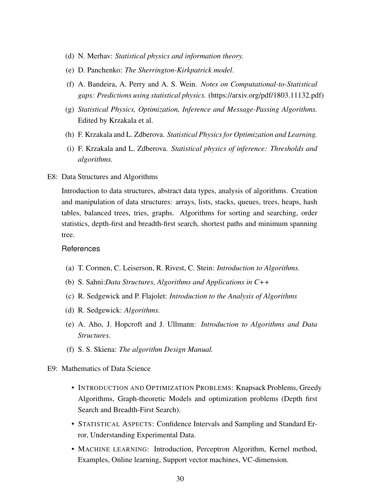- (d) N. Merhav: *Statistical physics and information theory.*
- (e) D. Panchenko: *The Sherrington-Kirkpatrick model*.
- (f) A. Bandeira, A. Perry and A. S. Wein. *Notes on Computational-to-Statistical gaps: Predictions using statistical physics.* (https://arxiv.org/pdf/1803.11132.pdf)
- (g) *Statistical Physics, Optimization, Inference and Message-Passing Algorithms.* Edited by Krzakala et al.
- <span id="page-33-0"></span>(h) F. Krzakala and L. Zdberova. *Statistical Physics for Optimization and Learning.*
- (i) F. Krzakala and L. Zdberova. *Statistical physics of inference: Thresholds and algorithms.*
- E8: Data Structures and Algorithms

Introduction to data structures, abstract data types, analysis of algorithms. Creation and manipulation of data structures: arrays, lists, stacks, queues, trees, heaps, hash tables, balanced trees, tries, graphs. Algorithms for sorting and searching, order statistics, depth-first and breadth-first search, shortest paths and minimum spanning tree.

- (a) T. Cormen, C. Leiserson, R. Rivest, C. Stein: *Introduction to Algorithms.*
- (b) S. Sahni:*Data Structures, Algorithms and Applications in C++*
- (c) R. Sedgewick and P. Flajolet: *Introduction to the Analysis of Algorithms*
- (d) R. Sedgewick: *Algorithms.*
- (e) A. Aho, J. Hopcroft and J. Ullmann: *Introduction to Algorithms and Data Structures.*
- <span id="page-33-1"></span>(f) S. S. Skiena: *The algorithm Design Manual.*
- E9: Mathematics of Data Science
	- INTRODUCTION AND OPTIMIZATION PROBLEMS: Knapsack Problems, Greedy Algorithms, Graph-theoretic Models and optimization problems (Depth first Search and Breadth-First Search).
	- STATISTICAL ASPECTS: Confidence Intervals and Sampling and Standard Error, Understanding Experimental Data.
	- MACHINE LEARNING: Introduction, Perceptron Algorithm, Kernel method, Examples, Online learning, Support vector machines, VC-dimension.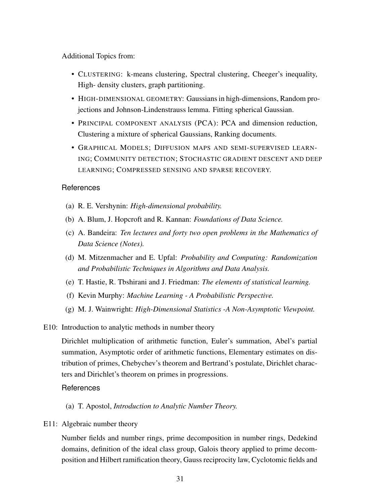Additional Topics from:

- CLUSTERING: k-means clustering, Spectral clustering, Cheeger's inequality, High- density clusters, graph partitioning.
- HIGH-DIMENSIONAL GEOMETRY: Gaussians in high-dimensions, Random projections and Johnson-Lindenstrauss lemma. Fitting spherical Gaussian.
- PRINCIPAL COMPONENT ANALYSIS (PCA): PCA and dimension reduction, Clustering a mixture of spherical Gaussians, Ranking documents.
- GRAPHICAL MODELS; DIFFUSION MAPS AND SEMI-SUPERVISED LEARN-ING; COMMUNITY DETECTION; STOCHASTIC GRADIENT DESCENT AND DEEP LEARNING; COMPRESSED SENSING AND SPARSE RECOVERY.

## References

- (a) R. E. Vershynin: *High-dimensional probability.*
- (b) A. Blum, J. Hopcroft and R. Kannan: *Foundations of Data Science.*
- (c) A. Bandeira: *Ten lectures and forty two open problems in the Mathematics of Data Science (Notes).*
- (d) M. Mitzenmacher and E. Upfal: *Probability and Computing: Randomization and Probabilistic Techniques in Algorithms and Data Analysis.*
- (e) T. Hastie, R. Tbshirani and J. Friedman: *The elements of statistical learning.*
- (f) Kevin Murphy: *Machine Learning A Probabilistic Perspective.*
- <span id="page-34-0"></span>(g) M. J. Wainwright: *High-Dimensional Statistics -A Non-Asymptotic Viewpoint.*
- E10: Introduction to analytic methods in number theory

Dirichlet multiplication of arithmetic function, Euler's summation, Abel's partial summation, Asymptotic order of arithmetic functions, Elementary estimates on distribution of primes, Chebychev's theorem and Bertrand's postulate, Dirichlet characters and Dirichlet's theorem on primes in progressions.

## <span id="page-34-1"></span>**References**

(a) T. Apostol, *Introduction to Analytic Number Theory.*

E11: Algebraic number theory

Number fields and number rings, prime decomposition in number rings, Dedekind domains, definition of the ideal class group, Galois theory applied to prime decomposition and Hilbert ramification theory, Gauss reciprocity law, Cyclotomic fields and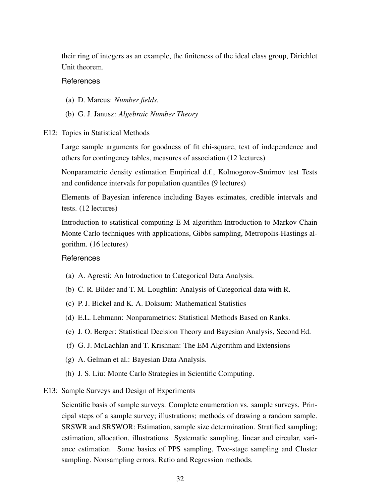their ring of integers as an example, the finiteness of the ideal class group, Dirichlet Unit theorem.

#### References

- (a) D. Marcus: *Number fields.*
- <span id="page-35-0"></span>(b) G. J. Janusz: *Algebraic Number Theory*
- E12: Topics in Statistical Methods

Large sample arguments for goodness of fit chi-square, test of independence and others for contingency tables, measures of association (12 lectures)

Nonparametric density estimation Empirical d.f., Kolmogorov-Smirnov test Tests and confidence intervals for population quantiles (9 lectures)

Elements of Bayesian inference including Bayes estimates, credible intervals and tests. (12 lectures)

Introduction to statistical computing E-M algorithm Introduction to Markov Chain Monte Carlo techniques with applications, Gibbs sampling, Metropolis-Hastings algorithm. (16 lectures)

#### **References**

- (a) A. Agresti: An Introduction to Categorical Data Analysis.
- (b) C. R. Bilder and T. M. Loughlin: Analysis of Categorical data with R.
- (c) P. J. Bickel and K. A. Doksum: Mathematical Statistics
- (d) E.L. Lehmann: Nonparametrics: Statistical Methods Based on Ranks.
- (e) J. O. Berger: Statistical Decision Theory and Bayesian Analysis, Second Ed.
- (f) G. J. McLachlan and T. Krishnan: The EM Algorithm and Extensions
- (g) A. Gelman et al.: Bayesian Data Analysis.
- <span id="page-35-1"></span>(h) J. S. Liu: Monte Carlo Strategies in Scientific Computing.
- E13: Sample Surveys and Design of Experiments

Scientific basis of sample surveys. Complete enumeration vs. sample surveys. Principal steps of a sample survey; illustrations; methods of drawing a random sample. SRSWR and SRSWOR: Estimation, sample size determination. Stratified sampling; estimation, allocation, illustrations. Systematic sampling, linear and circular, variance estimation. Some basics of PPS sampling, Two-stage sampling and Cluster sampling. Nonsampling errors. Ratio and Regression methods.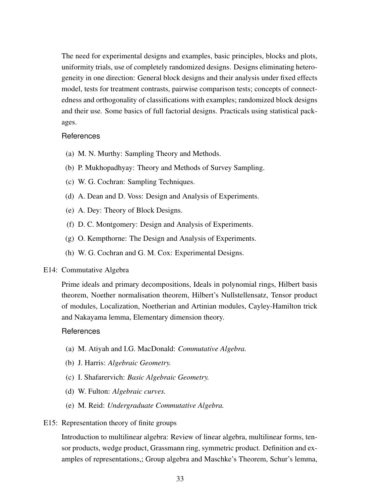The need for experimental designs and examples, basic principles, blocks and plots, uniformity trials, use of completely randomized designs. Designs eliminating heterogeneity in one direction: General block designs and their analysis under fixed effects model, tests for treatment contrasts, pairwise comparison tests; concepts of connectedness and orthogonality of classifications with examples; randomized block designs and their use. Some basics of full factorial designs. Practicals using statistical packages.

## References

- (a) M. N. Murthy: Sampling Theory and Methods.
- (b) P. Mukhopadhyay: Theory and Methods of Survey Sampling.
- (c) W. G. Cochran: Sampling Techniques.
- (d) A. Dean and D. Voss: Design and Analysis of Experiments.
- (e) A. Dey: Theory of Block Designs.
- (f) D. C. Montgomery: Design and Analysis of Experiments.
- (g) O. Kempthorne: The Design and Analysis of Experiments.
- <span id="page-36-0"></span>(h) W. G. Cochran and G. M. Cox: Experimental Designs.

#### E14: Commutative Algebra

Prime ideals and primary decompositions, Ideals in polynomial rings, Hilbert basis theorem, Noether normalisation theorem, Hilbert's Nullstellensatz, Tensor product of modules, Localization, Noetherian and Artinian modules, Cayley-Hamilton trick and Nakayama lemma, Elementary dimension theory.

#### **References**

- (a) M. Atiyah and I.G. MacDonald: *Commutative Algebra.*
- (b) J. Harris: *Algebraic Geometry.*
- (c) I. Shafarervich: *Basic Algebraic Geometry.*
- (d) W. Fulton: *Algebraic curves.*
- <span id="page-36-1"></span>(e) M. Reid: *Undergraduate Commutative Algebra.*
- E15: Representation theory of finite groups

Introduction to multilinear algebra: Review of linear algebra, multilinear forms, tensor products, wedge product, Grassmann ring, symmetric product. Definition and examples of representations,; Group algebra and Maschke's Theorem, Schur's lemma,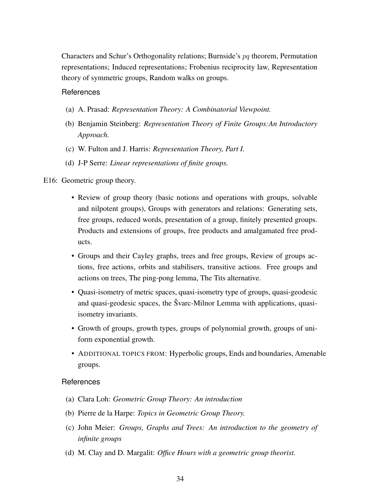Characters and Schur's Orthogonality relations; Burnside's pq theorem, Permutation representations; Induced representations; Frobenius reciprocity law, Representation theory of symmetric groups, Random walks on groups.

### **References**

- (a) A. Prasad: *Representation Theory: A Combinatorial Viewpoint.*
- (b) Benjamin Steinberg: *Representation Theory of Finite Groups:An Introductory Approach.*
- (c) W. Fulton and J. Harris: *Representation Theory, Part I.*
- <span id="page-37-0"></span>(d) J-P Serre: *Linear representations of finite groups.*

#### E16: Geometric group theory.

- Review of group theory (basic notions and operations with groups, solvable and nilpotent groups), Groups with generators and relations: Generating sets, free groups, reduced words, presentation of a group, finitely presented groups. Products and extensions of groups, free products and amalgamated free products.
- Groups and their Cayley graphs, trees and free groups, Review of groups actions, free actions, orbits and stabilisers, transitive actions. Free groups and actions on trees, The ping-pong lemma, The Tits alternative.
- Quasi-isometry of metric spaces, quasi-isometry type of groups, quasi-geodesic and quasi-geodesic spaces, the Švarc-Milnor Lemma with applications, quasiisometry invariants.
- Growth of groups, growth types, groups of polynomial growth, groups of uniform exponential growth.
- ADDITIONAL TOPICS FROM: Hyperbolic groups, Ends and boundaries, Amenable groups.

- (a) Clara Loh: *Geometric Group Theory: An introduction*
- (b) Pierre de la Harpe: *Topics in Geometric Group Theory.*
- (c) John Meier: *Groups, Graphs and Trees: An introduction to the geometry of infinite groups*
- <span id="page-37-1"></span>(d) M. Clay and D. Margalit: *Office Hours with a geometric group theorist.*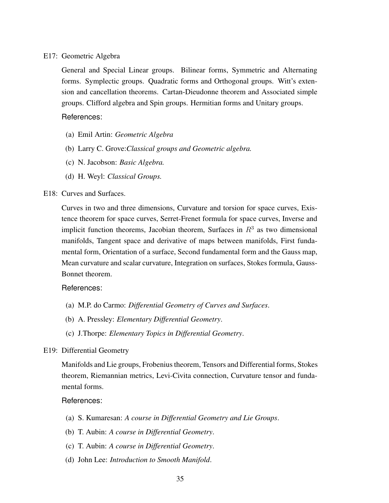E17: Geometric Algebra

General and Special Linear groups. Bilinear forms, Symmetric and Alternating forms. Symplectic groups. Quadratic forms and Orthogonal groups. Witt's extension and cancellation theorems. Cartan-Dieudonne theorem and Associated simple groups. Clifford algebra and Spin groups. Hermitian forms and Unitary groups.

References:

- (a) Emil Artin: *Geometric Algebra*
- (b) Larry C. Grove:*Classical groups and Geometric algebra.*
- (c) N. Jacobson: *Basic Algebra.*
- (d) H. Weyl: *Classical Groups.*

## <span id="page-38-0"></span>E18: Curves and Surfaces.

Curves in two and three dimensions, Curvature and torsion for space curves, Existence theorem for space curves, Serret-Frenet formula for space curves, Inverse and implicit function theorems, Jacobian theorem, Surfaces in  $R<sup>3</sup>$  as two dimensional manifolds, Tangent space and derivative of maps between manifolds, First fundamental form, Orientation of a surface, Second fundamental form and the Gauss map, Mean curvature and scalar curvature, Integration on surfaces, Stokes formula, Gauss-Bonnet theorem.

## References:

- (a) M.P. do Carmo: *Differential Geometry of Curves and Surfaces*.
- (b) A. Pressley: *Elementary Differential Geometry*.
- <span id="page-38-1"></span>(c) J.Thorpe: *Elementary Topics in Differential Geometry*.

## E19: Differential Geometry

Manifolds and Lie groups, Frobenius theorem, Tensors and Differential forms, Stokes theorem, Riemannian metrics, Levi-Civita connection, Curvature tensor and fundamental forms.

- (a) S. Kumaresan: *A course in Differential Geometry and Lie Groups*.
- (b) T. Aubin: *A course in Differential Geometry*.
- (c) T. Aubin: *A course in Differential Geometry*.
- (d) John Lee: *Introduction to Smooth Manifold*.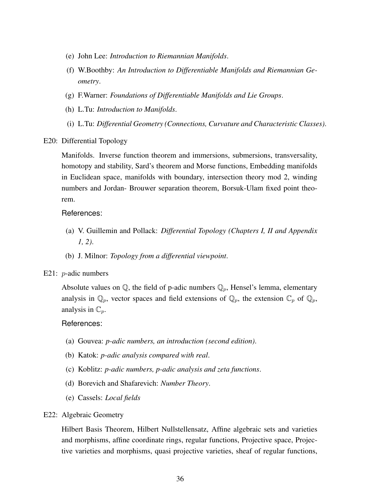- (e) John Lee: *Introduction to Riemannian Manifolds*.
- (f) W.Boothby: *An Introduction to Differentiable Manifolds and Riemannian Geometry*.
- (g) F.Warner: *Foundations of Differentiable Manifolds and Lie Groups*.
- (h) L.Tu: *Introduction to Manifolds*.
- (i) L.Tu: *Differential Geometry (Connections, Curvature and Characteristic Classes)*.

<span id="page-39-0"></span>E20: Differential Topology

Manifolds. Inverse function theorem and immersions, submersions, transversality, homotopy and stability, Sard's theorem and Morse functions, Embedding manifolds in Euclidean space, manifolds with boundary, intersection theory mod 2, winding numbers and Jordan- Brouwer separation theorem, Borsuk-Ulam fixed point theorem.

#### References:

- (a) V. Guillemin and Pollack: *Differential Topology (Chapters I, II and Appendix 1, 2)*.
- <span id="page-39-1"></span>(b) J. Milnor: *Topology from a differential viewpoint*.

#### E21: *p*-adic numbers

Absolute values on  $\mathbb Q$ , the field of p-adic numbers  $\mathbb Q_p$ , Hensel's lemma, elementary analysis in  $\mathbb{Q}_p$ , vector spaces and field extensions of  $\mathbb{Q}_p$ , the extension  $\mathbb{C}_p$  of  $\mathbb{Q}_p$ , analysis in  $\mathbb{C}_p$ .

#### References:

- (a) Gouvea: *p-adic numbers, an introduction (second edition)*.
- (b) Katok: *p-adic analysis compared with real*.
- (c) Koblitz: *p-adic numbers, p-adic analysis and zeta functions*.
- (d) Borevich and Shafarevich: *Number Theory*.
- <span id="page-39-2"></span>(e) Cassels: *Local fields*

#### E22: Algebraic Geometry

Hilbert Basis Theorem, Hilbert Nullstellensatz, Affine algebraic sets and varieties and morphisms, affine coordinate rings, regular functions, Projective space, Projective varieties and morphisms, quasi projective varieties, sheaf of regular functions,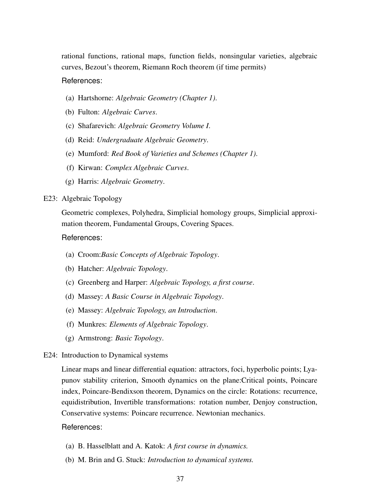rational functions, rational maps, function fields, nonsingular varieties, algebraic curves, Bezout's theorem, Riemann Roch theorem (if time permits)

#### References:

- (a) Hartshorne: *Algebraic Geometry (Chapter 1)*.
- (b) Fulton: *Algebraic Curves*.
- (c) Shafarevich: *Algebraic Geometry Volume I*.
- (d) Reid: *Undergraduate Algebraic Geometry*.
- (e) Mumford: *Red Book of Varieties and Schemes (Chapter 1)*.
- (f) Kirwan: *Complex Algebraic Curves*.
- (g) Harris: *Algebraic Geometry*.

## <span id="page-40-0"></span>E23: Algebraic Topology

Geometric complexes, Polyhedra, Simplicial homology groups, Simplicial approximation theorem, Fundamental Groups, Covering Spaces.

#### References:

- (a) Croom:*Basic Concepts of Algebraic Topology*.
- (b) Hatcher: *Algebraic Topology*.
- (c) Greenberg and Harper: *Algebraic Topology, a first course*.
- (d) Massey: *A Basic Course in Algebraic Topology*.
- (e) Massey: *Algebraic Topology, an Introduction*.
- (f) Munkres: *Elements of Algebraic Topology*.
- <span id="page-40-1"></span>(g) Armstrong: *Basic Topology*.
- E24: Introduction to Dynamical systems

Linear maps and linear differential equation: attractors, foci, hyperbolic points; Lyapunov stability criterion, Smooth dynamics on the plane:Critical points, Poincare index, Poincare-Bendixson theorem, Dynamics on the circle: Rotations: recurrence, equidistribution, Invertible transformations: rotation number, Denjoy construction, Conservative systems: Poincare recurrence. Newtonian mechanics.

- (a) B. Hasselblatt and A. Katok: *A first course in dynamics.*
- (b) M. Brin and G. Stuck: *Introduction to dynamical systems.*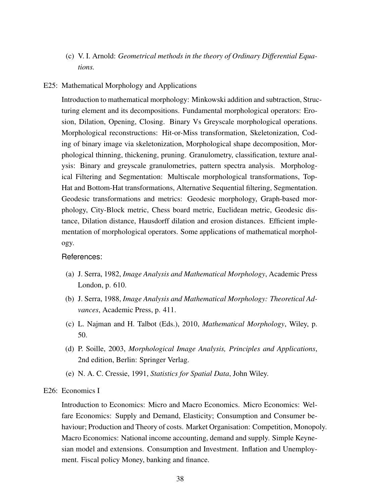<span id="page-41-0"></span>(c) V. I. Arnold: *Geometrical methods in the theory of Ordinary Differential Equations.*

#### E25: Mathematical Morphology and Applications

Introduction to mathematical morphology: Minkowski addition and subtraction, Structuring element and its decompositions. Fundamental morphological operators: Erosion, Dilation, Opening, Closing. Binary Vs Greyscale morphological operations. Morphological reconstructions: Hit-or-Miss transformation, Skeletonization, Coding of binary image via skeletonization, Morphological shape decomposition, Morphological thinning, thickening, pruning. Granulometry, classification, texture analysis: Binary and greyscale granulometries, pattern spectra analysis. Morphological Filtering and Segmentation: Multiscale morphological transformations, Top-Hat and Bottom-Hat transformations, Alternative Sequential filtering, Segmentation. Geodesic transformations and metrics: Geodesic morphology, Graph-based morphology, City-Block metric, Chess board metric, Euclidean metric, Geodesic distance, Dilation distance, Hausdorff dilation and erosion distances. Efficient implementation of morphological operators. Some applications of mathematical morphology.

#### References:

- (a) J. Serra, 1982, *Image Analysis and Mathematical Morphology*, Academic Press London, p. 610.
- (b) J. Serra, 1988, *Image Analysis and Mathematical Morphology: Theoretical Advances*, Academic Press, p. 411.
- (c) L. Najman and H. Talbot (Eds.), 2010, *Mathematical Morphology*, Wiley, p. 50.
- (d) P. Soille, 2003, *Morphological Image Analysis, Principles and Applications*, 2nd edition, Berlin: Springer Verlag.
- (e) N. A. C. Cressie, 1991, *Statistics for Spatial Data*, John Wiley.

## <span id="page-41-1"></span>E26: Economics I

Introduction to Economics: Micro and Macro Economics. Micro Economics: Welfare Economics: Supply and Demand, Elasticity; Consumption and Consumer behaviour; Production and Theory of costs. Market Organisation: Competition, Monopoly. Macro Economics: National income accounting, demand and supply. Simple Keynesian model and extensions. Consumption and Investment. Inflation and Unemployment. Fiscal policy Money, banking and finance.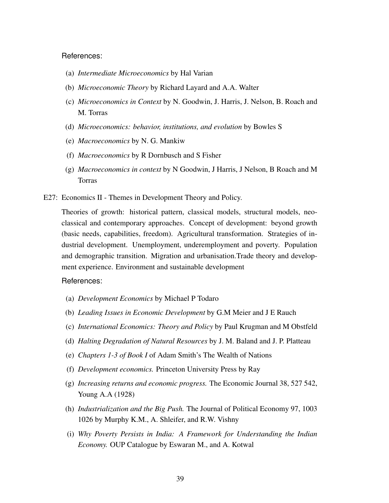- (a) *Intermediate Microeconomics* by Hal Varian
- (b) *Microeconomic Theory* by Richard Layard and A.A. Walter
- (c) *Microeconomics in Context* by N. Goodwin, J. Harris, J. Nelson, B. Roach and M. Torras
- (d) *Microeconomics: behavior, institutions, and evolution* by Bowles S
- (e) *Macroeconomics* by N. G. Mankiw
- (f) *Macroeconomics* by R Dornbusch and S Fisher
- <span id="page-42-0"></span>(g) *Macroeconomics in context* by N Goodwin, J Harris, J Nelson, B Roach and M Torras
- E27: Economics II Themes in Development Theory and Policy.

Theories of growth: historical pattern, classical models, structural models, neoclassical and contemporary approaches. Concept of development: beyond growth (basic needs, capabilities, freedom). Agricultural transformation. Strategies of industrial development. Unemployment, underemployment and poverty. Population and demographic transition. Migration and urbanisation.Trade theory and development experience. Environment and sustainable development

- (a) *Development Economics* by Michael P Todaro
- (b) *Leading Issues in Economic Development* by G.M Meier and J E Rauch
- (c) *International Economics: Theory and Policy* by Paul Krugman and M Obstfeld
- (d) *Halting Degradation of Natural Resources* by J. M. Baland and J. P. Platteau
- (e) *Chapters 1-3 of Book I* of Adam Smith's The Wealth of Nations
- (f) *Development economics.* Princeton University Press by Ray
- (g) *Increasing returns and economic progress.* The Economic Journal 38, 527 542, Young A.A (1928)
- (h) *Industrialization and the Big Push.* The Journal of Political Economy 97, 1003 1026 by Murphy K.M., A. Shleifer, and R.W. Vishny
- <span id="page-42-1"></span>(i) *Why Poverty Persists in India: A Framework for Understanding the Indian Economy.* OUP Catalogue by Eswaran M., and A. Kotwal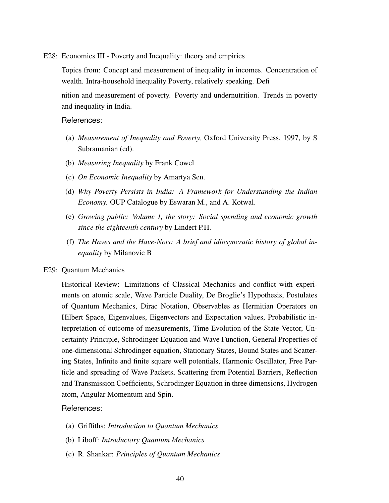E28: Economics III - Poverty and Inequality: theory and empirics

Topics from: Concept and measurement of inequality in incomes. Concentration of wealth. Intra-household inequality Poverty, relatively speaking. Defi

nition and measurement of poverty. Poverty and undernutrition. Trends in poverty and inequality in India.

#### References:

- (a) *Measurement of Inequality and Poverty,* Oxford University Press, 1997, by S Subramanian (ed).
- (b) *Measuring Inequality* by Frank Cowel.
- (c) *On Economic Inequality* by Amartya Sen.
- (d) *Why Poverty Persists in India: A Framework for Understanding the Indian Economy.* OUP Catalogue by Eswaran M., and A. Kotwal.
- (e) *Growing public: Volume 1, the story: Social spending and economic growth since the eighteenth century* by Lindert P.H.
- <span id="page-43-0"></span>(f) *The Haves and the Have-Nots: A brief and idiosyncratic history of global inequality* by Milanovic B

#### E29: Quantum Mechanics

Historical Review: Limitations of Classical Mechanics and conflict with experiments on atomic scale, Wave Particle Duality, De Broglie's Hypothesis, Postulates of Quantum Mechanics, Dirac Notation, Observables as Hermitian Operators on Hilbert Space, Eigenvalues, Eigenvectors and Expectation values, Probabilistic interpretation of outcome of measurements, Time Evolution of the State Vector, Uncertainty Principle, Schrodinger Equation and Wave Function, General Properties of one-dimensional Schrodinger equation, Stationary States, Bound States and Scattering States, Infinite and finite square well potentials, Harmonic Oscillator, Free Particle and spreading of Wave Packets, Scattering from Potential Barriers, Reflection and Transmission Coefficients, Schrodinger Equation in three dimensions, Hydrogen atom, Angular Momentum and Spin.

- (a) Griffiths: *Introduction to Quantum Mechanics*
- (b) Liboff: *Introductory Quantum Mechanics*
- <span id="page-43-1"></span>(c) R. Shankar: *Principles of Quantum Mechanics*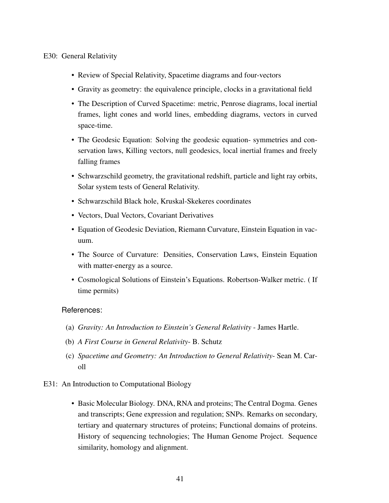## E30: General Relativity

- Review of Special Relativity, Spacetime diagrams and four-vectors
- Gravity as geometry: the equivalence principle, clocks in a gravitational field
- The Description of Curved Spacetime: metric, Penrose diagrams, local inertial frames, light cones and world lines, embedding diagrams, vectors in curved space-time.
- The Geodesic Equation: Solving the geodesic equation- symmetries and conservation laws, Killing vectors, null geodesics, local inertial frames and freely falling frames
- Schwarzschild geometry, the gravitational redshift, particle and light ray orbits, Solar system tests of General Relativity.
- Schwarzschild Black hole, Kruskal-Skekeres coordinates
- Vectors, Dual Vectors, Covariant Derivatives
- Equation of Geodesic Deviation, Riemann Curvature, Einstein Equation in vacuum.
- The Source of Curvature: Densities, Conservation Laws, Einstein Equation with matter-energy as a source.
- Cosmological Solutions of Einstein's Equations. Robertson-Walker metric. ( If time permits)

- (a) *Gravity: An Introduction to Einstein's General Relativity* James Hartle.
- (b) *A First Course in General Relativity* B. Schutz
- <span id="page-44-0"></span>(c) *Spacetime and Geometry: An Introduction to General Relativity*- Sean M. Caroll
- E31: An Introduction to Computational Biology
	- Basic Molecular Biology. DNA, RNA and proteins; The Central Dogma. Genes and transcripts; Gene expression and regulation; SNPs. Remarks on secondary, tertiary and quaternary structures of proteins; Functional domains of proteins. History of sequencing technologies; The Human Genome Project. Sequence similarity, homology and alignment.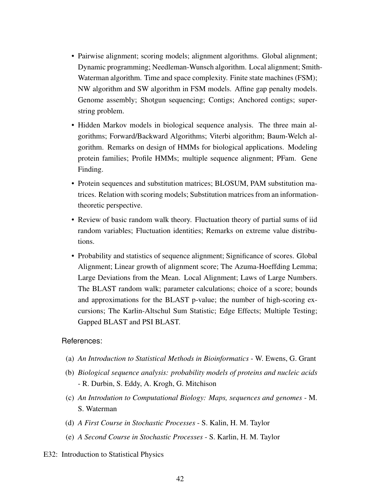- Pairwise alignment; scoring models; alignment algorithms. Global alignment; Dynamic programming; Needleman-Wunsch algorithm. Local alignment; Smith-Waterman algorithm. Time and space complexity. Finite state machines (FSM); NW algorithm and SW algorithm in FSM models. Affine gap penalty models. Genome assembly; Shotgun sequencing; Contigs; Anchored contigs; superstring problem.
- Hidden Markov models in biological sequence analysis. The three main algorithms; Forward/Backward Algorithms; Viterbi algorithm; Baum-Welch algorithm. Remarks on design of HMMs for biological applications. Modeling protein families; Profile HMMs; multiple sequence alignment; PFam. Gene Finding.
- Protein sequences and substitution matrices; BLOSUM, PAM substitution matrices. Relation with scoring models; Substitution matrices from an informationtheoretic perspective.
- Review of basic random walk theory. Fluctuation theory of partial sums of iid random variables; Fluctuation identities; Remarks on extreme value distributions.
- Probability and statistics of sequence alignment; Significance of scores. Global Alignment; Linear growth of alignment score; The Azuma-Hoeffding Lemma; Large Deviations from the Mean. Local Alignment; Laws of Large Numbers. The BLAST random walk; parameter calculations; choice of a score; bounds and approximations for the BLAST p-value; the number of high-scoring excursions; The Karlin-Altschul Sum Statistic; Edge Effects; Multiple Testing; Gapped BLAST and PSI BLAST.

- (a) *An Introduction to Statistical Methods in Bioinformatics* W. Ewens, G. Grant
- (b) *Biological sequence analysis: probability models of proteins and nucleic acids* - R. Durbin, S. Eddy, A. Krogh, G. Mitchison
- (c) *An Introdution to Computational Biology: Maps, sequences and genomes* M. S. Waterman
- (d) *A First Course in Stochastic Processes* S. Kalin, H. M. Taylor
- (e) *A Second Course in Stochastic Processes* S. Karlin, H. M. Taylor
- <span id="page-45-0"></span>E32: Introduction to Statistical Physics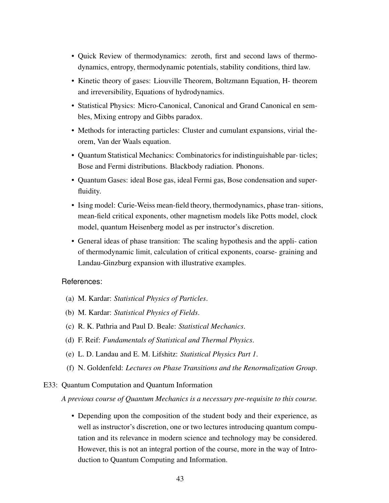- Quick Review of thermodynamics: zeroth, first and second laws of thermodynamics, entropy, thermodynamic potentials, stability conditions, third law.
- Kinetic theory of gases: Liouville Theorem, Boltzmann Equation, H- theorem and irreversibility, Equations of hydrodynamics.
- Statistical Physics: Micro-Canonical, Canonical and Grand Canonical en sembles, Mixing entropy and Gibbs paradox.
- Methods for interacting particles: Cluster and cumulant expansions, virial theorem, Van der Waals equation.
- Quantum Statistical Mechanics: Combinatorics for indistinguishable par- ticles; Bose and Fermi distributions. Blackbody radiation. Phonons.
- Quantum Gases: ideal Bose gas, ideal Fermi gas, Bose condensation and superfluidity.
- Ising model: Curie-Weiss mean-field theory, thermodynamics, phase tran- sitions, mean-field critical exponents, other magnetism models like Potts model, clock model, quantum Heisenberg model as per instructor's discretion.
- General ideas of phase transition: The scaling hypothesis and the appli- cation of thermodynamic limit, calculation of critical exponents, coarse- graining and Landau-Ginzburg expansion with illustrative examples.

- (a) M. Kardar: *Statistical Physics of Particles*.
- (b) M. Kardar: *Statistical Physics of Fields*.
- (c) R. K. Pathria and Paul D. Beale: *Statistical Mechanics*.
- (d) F. Reif: *Fundamentals of Statistical and Thermal Physics*.
- (e) L. D. Landau and E. M. Lifshitz: *Statistical Physics Part 1*.
- (f) N. Goldenfeld: *Lectures on Phase Transitions and the Renormalization Group*.
- <span id="page-46-0"></span>E33: Quantum Computation and Quantum Information

*A previous course of Quantum Mechanics is a necessary pre-requisite to this course.*

• Depending upon the composition of the student body and their experience, as well as instructor's discretion, one or two lectures introducing quantum computation and its relevance in modern science and technology may be considered. However, this is not an integral portion of the course, more in the way of Introduction to Quantum Computing and Information.